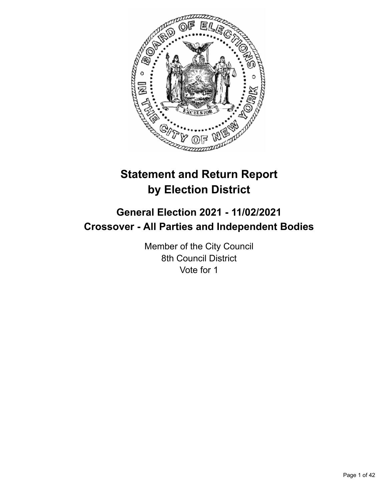

# **Statement and Return Report by Election District**

# **General Election 2021 - 11/02/2021 Crossover - All Parties and Independent Bodies**

Member of the City Council 8th Council District Vote for 1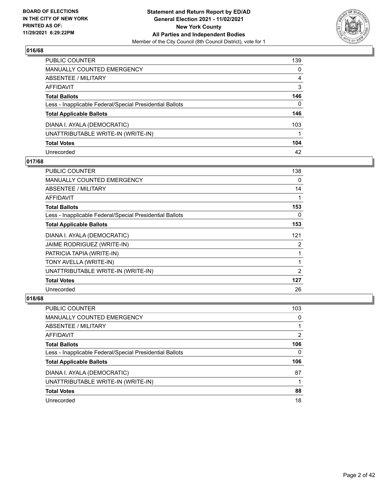

| PUBLIC COUNTER                                           | 139      |
|----------------------------------------------------------|----------|
| <b>MANUALLY COUNTED EMERGENCY</b>                        | 0        |
| ABSENTEE / MILITARY                                      | 4        |
| AFFIDAVIT                                                | 3        |
| <b>Total Ballots</b>                                     | 146      |
| Less - Inapplicable Federal/Special Presidential Ballots | $\Omega$ |
| <b>Total Applicable Ballots</b>                          | 146      |
| DIANA I. AYALA (DEMOCRATIC)                              | 103      |
| UNATTRIBUTABLE WRITE-IN (WRITE-IN)                       |          |
| <b>Total Votes</b>                                       | 104      |
| Unrecorded                                               | 42       |

## **017/68**

| PUBLIC COUNTER                                           | 138 |
|----------------------------------------------------------|-----|
| <b>MANUALLY COUNTED EMERGENCY</b>                        | 0   |
| ABSENTEE / MILITARY                                      | 14  |
| AFFIDAVIT                                                |     |
| <b>Total Ballots</b>                                     | 153 |
| Less - Inapplicable Federal/Special Presidential Ballots | 0   |
| <b>Total Applicable Ballots</b>                          | 153 |
| DIANA I. AYALA (DEMOCRATIC)                              | 121 |
| JAIME RODRIGUEZ (WRITE-IN)                               | 2   |
| PATRICIA TAPIA (WRITE-IN)                                |     |
| TONY AVELLA (WRITE-IN)                                   | 1   |
| UNATTRIBUTABLE WRITE-IN (WRITE-IN)                       | 2   |
| <b>Total Votes</b>                                       | 127 |
| Unrecorded                                               | 26  |

| PUBLIC COUNTER                                           | 103           |
|----------------------------------------------------------|---------------|
| MANUALLY COUNTED EMERGENCY                               | 0             |
| ABSENTEE / MILITARY                                      |               |
| AFFIDAVIT                                                | $\mathcal{P}$ |
| <b>Total Ballots</b>                                     | 106           |
| Less - Inapplicable Federal/Special Presidential Ballots | 0             |
| <b>Total Applicable Ballots</b>                          | 106           |
| DIANA I. AYALA (DEMOCRATIC)                              | 87            |
| UNATTRIBUTABLE WRITE-IN (WRITE-IN)                       |               |
| <b>Total Votes</b>                                       | 88            |
| Unrecorded                                               | 18            |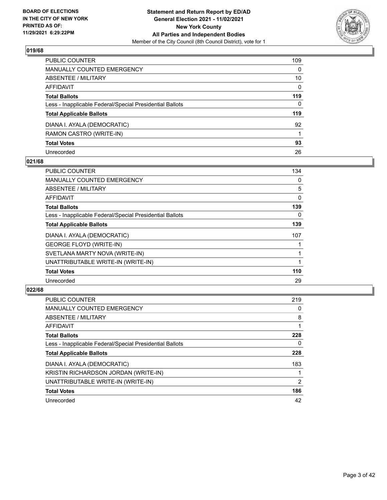

| PUBLIC COUNTER                                           | 109          |
|----------------------------------------------------------|--------------|
| <b>MANUALLY COUNTED EMERGENCY</b>                        | $\mathbf{0}$ |
| ABSENTEE / MILITARY                                      | 10           |
| <b>AFFIDAVIT</b>                                         | $\Omega$     |
| <b>Total Ballots</b>                                     | 119          |
| Less - Inapplicable Federal/Special Presidential Ballots | $\mathbf{0}$ |
| <b>Total Applicable Ballots</b>                          | 119          |
| DIANA I. AYALA (DEMOCRATIC)                              | 92           |
| RAMON CASTRO (WRITE-IN)                                  |              |
| <b>Total Votes</b>                                       | 93           |
| Unrecorded                                               | 26           |

## **021/68**

| <b>PUBLIC COUNTER</b>                                    | 134 |
|----------------------------------------------------------|-----|
| <b>MANUALLY COUNTED EMERGENCY</b>                        | 0   |
| ABSENTEE / MILITARY                                      | 5   |
| AFFIDAVIT                                                | 0   |
| <b>Total Ballots</b>                                     | 139 |
| Less - Inapplicable Federal/Special Presidential Ballots | 0   |
| <b>Total Applicable Ballots</b>                          | 139 |
| DIANA I. AYALA (DEMOCRATIC)                              | 107 |
| <b>GEORGE FLOYD (WRITE-IN)</b>                           |     |
| SVETLANA MARTY NOVA (WRITE-IN)                           |     |
| UNATTRIBUTABLE WRITE-IN (WRITE-IN)                       |     |
| <b>Total Votes</b>                                       | 110 |
| Unrecorded                                               | 29  |

| <b>PUBLIC COUNTER</b>                                    | 219 |
|----------------------------------------------------------|-----|
| <b>MANUALLY COUNTED EMERGENCY</b>                        | 0   |
| ABSENTEE / MILITARY                                      | 8   |
| AFFIDAVIT                                                |     |
| <b>Total Ballots</b>                                     | 228 |
| Less - Inapplicable Federal/Special Presidential Ballots | 0   |
| <b>Total Applicable Ballots</b>                          | 228 |
| DIANA I. AYALA (DEMOCRATIC)                              | 183 |
| KRISTIN RICHARDSON JORDAN (WRITE-IN)                     |     |
| UNATTRIBUTABLE WRITE-IN (WRITE-IN)                       | 2   |
| <b>Total Votes</b>                                       | 186 |
| Unrecorded                                               | 42  |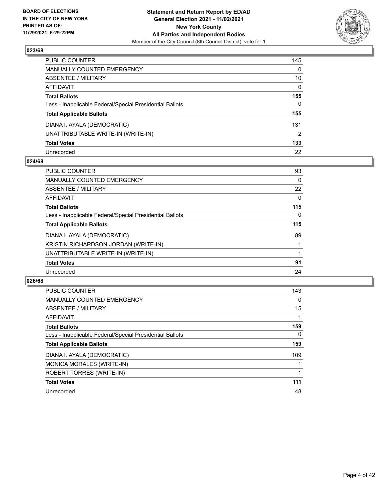

| PUBLIC COUNTER                                           | 145      |
|----------------------------------------------------------|----------|
| <b>MANUALLY COUNTED EMERGENCY</b>                        | 0        |
| <b>ABSENTEE / MILITARY</b>                               | 10       |
| AFFIDAVIT                                                | $\Omega$ |
| <b>Total Ballots</b>                                     | 155      |
| Less - Inapplicable Federal/Special Presidential Ballots | 0        |
| <b>Total Applicable Ballots</b>                          | 155      |
| DIANA I. AYALA (DEMOCRATIC)                              | 131      |
| UNATTRIBUTABLE WRITE-IN (WRITE-IN)                       | 2        |
| <b>Total Votes</b>                                       | 133      |
| Unrecorded                                               | 22       |

## **024/68**

| <b>PUBLIC COUNTER</b>                                    | 93       |
|----------------------------------------------------------|----------|
| <b>MANUALLY COUNTED EMERGENCY</b>                        | $\Omega$ |
| ABSENTEE / MILITARY                                      | 22       |
| AFFIDAVIT                                                | $\Omega$ |
| <b>Total Ballots</b>                                     | 115      |
| Less - Inapplicable Federal/Special Presidential Ballots | 0        |
| <b>Total Applicable Ballots</b>                          | 115      |
| DIANA I. AYALA (DEMOCRATIC)                              | 89       |
| KRISTIN RICHARDSON JORDAN (WRITE-IN)                     |          |
| UNATTRIBUTABLE WRITE-IN (WRITE-IN)                       |          |
| <b>Total Votes</b>                                       | 91       |
| Unrecorded                                               | 24       |

| <b>PUBLIC COUNTER</b>                                    | 143      |
|----------------------------------------------------------|----------|
| <b>MANUALLY COUNTED EMERGENCY</b>                        | $\Omega$ |
| ABSENTEE / MILITARY                                      | 15       |
| <b>AFFIDAVIT</b>                                         |          |
| <b>Total Ballots</b>                                     | 159      |
| Less - Inapplicable Federal/Special Presidential Ballots | $\Omega$ |
| <b>Total Applicable Ballots</b>                          | 159      |
| DIANA I. AYALA (DEMOCRATIC)                              | 109      |
| MONICA MORALES (WRITE-IN)                                |          |
| ROBERT TORRES (WRITE-IN)                                 |          |
| <b>Total Votes</b>                                       | 111      |
| Unrecorded                                               | 48       |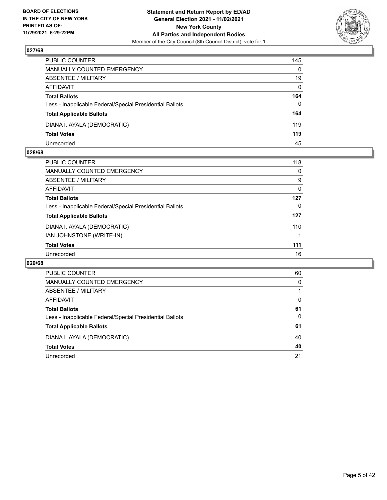

| PUBLIC COUNTER                                           | 145          |
|----------------------------------------------------------|--------------|
| <b>MANUALLY COUNTED EMERGENCY</b>                        | $\Omega$     |
| <b>ABSENTEE / MILITARY</b>                               | 19           |
| AFFIDAVIT                                                | $\mathbf{0}$ |
| <b>Total Ballots</b>                                     | 164          |
| Less - Inapplicable Federal/Special Presidential Ballots | $\Omega$     |
| <b>Total Applicable Ballots</b>                          | 164          |
| DIANA I. AYALA (DEMOCRATIC)                              | 119          |
| <b>Total Votes</b>                                       | 119          |
| Unrecorded                                               | 45           |

## **028/68**

|                                                          | 118 |
|----------------------------------------------------------|-----|
| PUBLIC COUNTER                                           |     |
| MANUALLY COUNTED EMERGENCY                               | 0   |
| ABSENTEE / MILITARY                                      | 9   |
| AFFIDAVIT                                                | 0   |
| <b>Total Ballots</b>                                     | 127 |
| Less - Inapplicable Federal/Special Presidential Ballots | 0   |
| <b>Total Applicable Ballots</b>                          | 127 |
| DIANA I. AYALA (DEMOCRATIC)                              | 110 |
| IAN JOHNSTONE (WRITE-IN)                                 |     |
| <b>Total Votes</b>                                       | 111 |
| Unrecorded                                               | 16  |
|                                                          |     |

| PUBLIC COUNTER                                           | 60       |
|----------------------------------------------------------|----------|
| <b>MANUALLY COUNTED EMERGENCY</b>                        | $\Omega$ |
| ABSENTEE / MILITARY                                      |          |
| AFFIDAVIT                                                | $\Omega$ |
| <b>Total Ballots</b>                                     | 61       |
| Less - Inapplicable Federal/Special Presidential Ballots | 0        |
| <b>Total Applicable Ballots</b>                          | 61       |
| DIANA I. AYALA (DEMOCRATIC)                              | 40       |
| <b>Total Votes</b>                                       | 40       |
| Unrecorded                                               | 21       |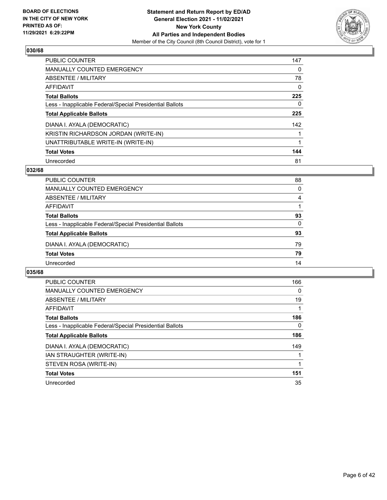

| <b>PUBLIC COUNTER</b>                                    | 147      |
|----------------------------------------------------------|----------|
| <b>MANUALLY COUNTED EMERGENCY</b>                        | $\Omega$ |
| ABSENTEE / MILITARY                                      | 78       |
| AFFIDAVIT                                                | $\Omega$ |
| <b>Total Ballots</b>                                     | 225      |
| Less - Inapplicable Federal/Special Presidential Ballots | 0        |
| <b>Total Applicable Ballots</b>                          | 225      |
| DIANA I. AYALA (DEMOCRATIC)                              | 142      |
| KRISTIN RICHARDSON JORDAN (WRITE-IN)                     |          |
| UNATTRIBUTABLE WRITE-IN (WRITE-IN)                       |          |
| <b>Total Votes</b>                                       | 144      |
| Unrecorded                                               | 81       |

## **032/68**

| <b>PUBLIC COUNTER</b>                                    | 88       |
|----------------------------------------------------------|----------|
| <b>MANUALLY COUNTED EMERGENCY</b>                        | $\Omega$ |
| ABSENTEE / MILITARY                                      | 4        |
| AFFIDAVIT                                                |          |
| <b>Total Ballots</b>                                     | 93       |
| Less - Inapplicable Federal/Special Presidential Ballots | 0        |
| <b>Total Applicable Ballots</b>                          | 93       |
| DIANA I. AYALA (DEMOCRATIC)                              | 79       |
| <b>Total Votes</b>                                       | 79       |
| Unrecorded                                               | 14       |

| <b>PUBLIC COUNTER</b>                                    | 166 |
|----------------------------------------------------------|-----|
| <b>MANUALLY COUNTED EMERGENCY</b>                        | 0   |
| ABSENTEE / MILITARY                                      | 19  |
| AFFIDAVIT                                                |     |
| <b>Total Ballots</b>                                     | 186 |
| Less - Inapplicable Federal/Special Presidential Ballots | 0   |
| <b>Total Applicable Ballots</b>                          | 186 |
| DIANA I. AYALA (DEMOCRATIC)                              | 149 |
| IAN STRAUGHTER (WRITE-IN)                                |     |
| STEVEN ROSA (WRITE-IN)                                   |     |
| <b>Total Votes</b>                                       | 151 |
| Unrecorded                                               | 35  |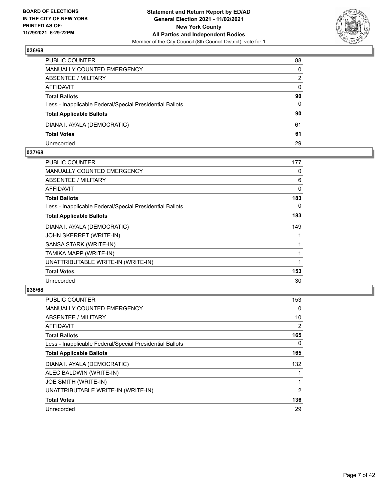

| PUBLIC COUNTER                                           | 88       |
|----------------------------------------------------------|----------|
| MANUALLY COUNTED EMERGENCY                               | $\Omega$ |
| <b>ABSENTEE / MILITARY</b>                               | 2        |
| AFFIDAVIT                                                | $\Omega$ |
| <b>Total Ballots</b>                                     | 90       |
| Less - Inapplicable Federal/Special Presidential Ballots | 0        |
| <b>Total Applicable Ballots</b>                          | 90       |
| DIANA I. AYALA (DEMOCRATIC)                              | 61       |
| <b>Total Votes</b>                                       | 61       |
| Unrecorded                                               | 29       |

## **037/68**

| PUBLIC COUNTER                                           | 177      |
|----------------------------------------------------------|----------|
| <b>MANUALLY COUNTED EMERGENCY</b>                        | 0        |
| ABSENTEE / MILITARY                                      | 6        |
| <b>AFFIDAVIT</b>                                         | $\Omega$ |
| <b>Total Ballots</b>                                     | 183      |
| Less - Inapplicable Federal/Special Presidential Ballots | 0        |
| <b>Total Applicable Ballots</b>                          | 183      |
| DIANA I. AYALA (DEMOCRATIC)                              | 149      |
| JOHN SKERRET (WRITE-IN)                                  |          |
| SANSA STARK (WRITE-IN)                                   |          |
| TAMIKA MAPP (WRITE-IN)                                   | 1        |
| UNATTRIBUTABLE WRITE-IN (WRITE-IN)                       | 1        |
| <b>Total Votes</b>                                       | 153      |
| Unrecorded                                               | 30       |
|                                                          |          |

| <b>PUBLIC COUNTER</b>                                    | 153 |
|----------------------------------------------------------|-----|
| <b>MANUALLY COUNTED EMERGENCY</b>                        | 0   |
| ABSENTEE / MILITARY                                      | 10  |
| <b>AFFIDAVIT</b>                                         | 2   |
| <b>Total Ballots</b>                                     | 165 |
| Less - Inapplicable Federal/Special Presidential Ballots | 0   |
| <b>Total Applicable Ballots</b>                          | 165 |
| DIANA I. AYALA (DEMOCRATIC)                              | 132 |
| ALEC BALDWIN (WRITE-IN)                                  |     |
| JOE SMITH (WRITE-IN)                                     |     |
| UNATTRIBUTABLE WRITE-IN (WRITE-IN)                       | 2   |
| <b>Total Votes</b>                                       | 136 |
| Unrecorded                                               | 29  |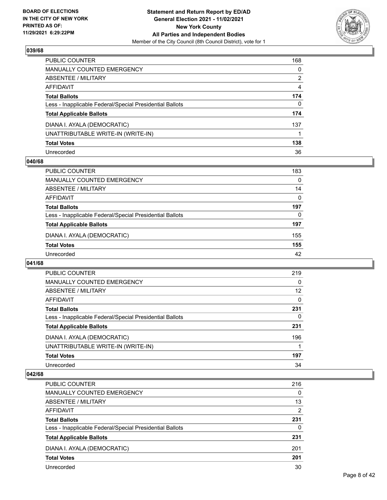

| PUBLIC COUNTER                                           | 168      |
|----------------------------------------------------------|----------|
| MANUALLY COUNTED EMERGENCY                               | $\Omega$ |
| ABSENTEE / MILITARY                                      | 2        |
| <b>AFFIDAVIT</b>                                         | 4        |
| <b>Total Ballots</b>                                     | 174      |
| Less - Inapplicable Federal/Special Presidential Ballots | 0        |
| <b>Total Applicable Ballots</b>                          | 174      |
| DIANA I. AYALA (DEMOCRATIC)                              | 137      |
| UNATTRIBUTABLE WRITE-IN (WRITE-IN)                       |          |
| <b>Total Votes</b>                                       | 138      |
| Unrecorded                                               | 36       |

## **040/68**

| PUBLIC COUNTER                                           | 183      |
|----------------------------------------------------------|----------|
| MANUALLY COUNTED EMERGENCY                               | $\Omega$ |
| ABSENTEE / MILITARY                                      | 14       |
| AFFIDAVIT                                                | $\Omega$ |
| <b>Total Ballots</b>                                     | 197      |
| Less - Inapplicable Federal/Special Presidential Ballots | 0        |
| <b>Total Applicable Ballots</b>                          | 197      |
| DIANA I. AYALA (DEMOCRATIC)                              | 155      |
| <b>Total Votes</b>                                       | 155      |
| Unrecorded                                               | 42       |

## **041/68**

| <b>PUBLIC COUNTER</b>                                    | 219      |
|----------------------------------------------------------|----------|
| MANUALLY COUNTED EMERGENCY                               | 0        |
| ABSENTEE / MILITARY                                      | 12       |
| AFFIDAVIT                                                | $\Omega$ |
| <b>Total Ballots</b>                                     | 231      |
| Less - Inapplicable Federal/Special Presidential Ballots | 0        |
| <b>Total Applicable Ballots</b>                          | 231      |
| DIANA I. AYALA (DEMOCRATIC)                              | 196      |
| UNATTRIBUTABLE WRITE-IN (WRITE-IN)                       |          |
| <b>Total Votes</b>                                       | 197      |
| Unrecorded                                               | 34       |

| PUBLIC COUNTER                                           | 216 |
|----------------------------------------------------------|-----|
| MANUALLY COUNTED EMERGENCY                               | 0   |
| ABSENTEE / MILITARY                                      | 13  |
| AFFIDAVIT                                                | 2   |
| <b>Total Ballots</b>                                     | 231 |
| Less - Inapplicable Federal/Special Presidential Ballots | 0   |
| <b>Total Applicable Ballots</b>                          | 231 |
| DIANA I. AYALA (DEMOCRATIC)                              | 201 |
| <b>Total Votes</b>                                       | 201 |
| Unrecorded                                               | 30  |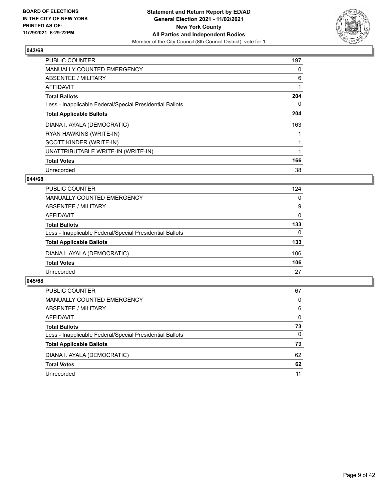

| <b>PUBLIC COUNTER</b>                                    | 197 |
|----------------------------------------------------------|-----|
| <b>MANUALLY COUNTED EMERGENCY</b>                        | 0   |
| ABSENTEE / MILITARY                                      | 6   |
| <b>AFFIDAVIT</b>                                         |     |
| <b>Total Ballots</b>                                     | 204 |
| Less - Inapplicable Federal/Special Presidential Ballots | 0   |
| <b>Total Applicable Ballots</b>                          | 204 |
| DIANA I. AYALA (DEMOCRATIC)                              | 163 |
| RYAN HAWKINS (WRITE-IN)                                  |     |
| SCOTT KINDER (WRITE-IN)                                  |     |
| UNATTRIBUTABLE WRITE-IN (WRITE-IN)                       |     |
| <b>Total Votes</b>                                       | 166 |
| Unrecorded                                               | 38  |

# **044/68**

| <b>PUBLIC COUNTER</b>                                    | 124      |
|----------------------------------------------------------|----------|
| MANUALLY COUNTED EMERGENCY                               | 0        |
| ABSENTEE / MILITARY                                      | 9        |
| AFFIDAVIT                                                | 0        |
| <b>Total Ballots</b>                                     | 133      |
| Less - Inapplicable Federal/Special Presidential Ballots | $\Omega$ |
| <b>Total Applicable Ballots</b>                          | 133      |
| DIANA I. AYALA (DEMOCRATIC)                              | 106      |
| <b>Total Votes</b>                                       | 106      |
| Unrecorded                                               | 27       |

| <b>PUBLIC COUNTER</b>                                    | 67       |
|----------------------------------------------------------|----------|
| MANUALLY COUNTED EMERGENCY                               | $\Omega$ |
| ABSENTEE / MILITARY                                      | 6        |
| AFFIDAVIT                                                | $\Omega$ |
| <b>Total Ballots</b>                                     | 73       |
| Less - Inapplicable Federal/Special Presidential Ballots | $\Omega$ |
| <b>Total Applicable Ballots</b>                          | 73       |
| DIANA I. AYALA (DEMOCRATIC)                              | 62       |
| <b>Total Votes</b>                                       | 62       |
| Unrecorded                                               | 11       |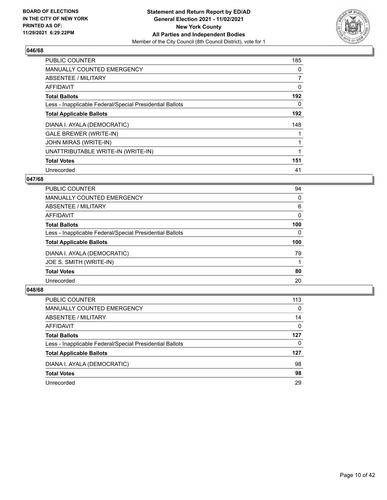

| <b>PUBLIC COUNTER</b>                                    | 185            |
|----------------------------------------------------------|----------------|
| <b>MANUALLY COUNTED EMERGENCY</b>                        | 0              |
| ABSENTEE / MILITARY                                      | $\overline{7}$ |
| <b>AFFIDAVIT</b>                                         | 0              |
| <b>Total Ballots</b>                                     | 192            |
| Less - Inapplicable Federal/Special Presidential Ballots | 0              |
| <b>Total Applicable Ballots</b>                          | 192            |
| DIANA I. AYALA (DEMOCRATIC)                              | 148            |
| <b>GALE BREWER (WRITE-IN)</b>                            |                |
| <b>JOHN MIRAS (WRITE-IN)</b>                             |                |
| UNATTRIBUTABLE WRITE-IN (WRITE-IN)                       |                |
| <b>Total Votes</b>                                       | 151            |
| Unrecorded                                               | 41             |

# **047/68**

| PUBLIC COUNTER                                           | 94       |
|----------------------------------------------------------|----------|
| <b>MANUALLY COUNTED EMERGENCY</b>                        | 0        |
| ABSENTEE / MILITARY                                      | 6        |
| <b>AFFIDAVIT</b>                                         | 0        |
| <b>Total Ballots</b>                                     | 100      |
| Less - Inapplicable Federal/Special Presidential Ballots | $\Omega$ |
| <b>Total Applicable Ballots</b>                          | 100      |
| DIANA I. AYALA (DEMOCRATIC)                              | 79       |
| JOE S. SMITH (WRITE-IN)                                  |          |
| <b>Total Votes</b>                                       | 80       |
| Unrecorded                                               | 20       |
|                                                          |          |

| PUBLIC COUNTER                                           | 113      |
|----------------------------------------------------------|----------|
| <b>MANUALLY COUNTED EMERGENCY</b>                        | $\Omega$ |
| ABSENTEE / MILITARY                                      | 14       |
| AFFIDAVIT                                                | $\Omega$ |
| <b>Total Ballots</b>                                     | 127      |
| Less - Inapplicable Federal/Special Presidential Ballots | 0        |
| <b>Total Applicable Ballots</b>                          | 127      |
| DIANA I. AYALA (DEMOCRATIC)                              | 98       |
| <b>Total Votes</b>                                       | 98       |
| Unrecorded                                               | 29       |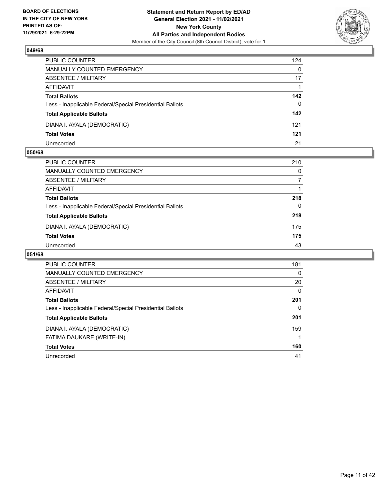

| PUBLIC COUNTER                                           | 124      |
|----------------------------------------------------------|----------|
| <b>MANUALLY COUNTED EMERGENCY</b>                        | $\Omega$ |
| <b>ABSENTEE / MILITARY</b>                               | 17       |
| AFFIDAVIT                                                |          |
| <b>Total Ballots</b>                                     | 142      |
| Less - Inapplicable Federal/Special Presidential Ballots | $\Omega$ |
| <b>Total Applicable Ballots</b>                          | 142      |
| DIANA I. AYALA (DEMOCRATIC)                              | 121      |
| <b>Total Votes</b>                                       | 121      |
| Unrecorded                                               | 21       |

## **050/68**

| <b>PUBLIC COUNTER</b>                                    | 210      |
|----------------------------------------------------------|----------|
| <b>MANUALLY COUNTED EMERGENCY</b>                        | $\Omega$ |
| ABSENTEE / MILITARY                                      |          |
| AFFIDAVIT                                                |          |
| <b>Total Ballots</b>                                     | 218      |
| Less - Inapplicable Federal/Special Presidential Ballots | 0        |
| <b>Total Applicable Ballots</b>                          | 218      |
| DIANA I. AYALA (DEMOCRATIC)                              | 175      |
| <b>Total Votes</b>                                       | 175      |
| Unrecorded                                               | 43       |

| <b>PUBLIC COUNTER</b>                                    | 181      |
|----------------------------------------------------------|----------|
| <b>MANUALLY COUNTED EMERGENCY</b>                        | $\Omega$ |
| ABSENTEE / MILITARY                                      | 20       |
| AFFIDAVIT                                                | $\Omega$ |
| <b>Total Ballots</b>                                     | 201      |
| Less - Inapplicable Federal/Special Presidential Ballots | $\Omega$ |
| <b>Total Applicable Ballots</b>                          | 201      |
| DIANA I. AYALA (DEMOCRATIC)                              | 159      |
| FATIMA DAUKARE (WRITE-IN)                                |          |
| <b>Total Votes</b>                                       | 160      |
| Unrecorded                                               | 41       |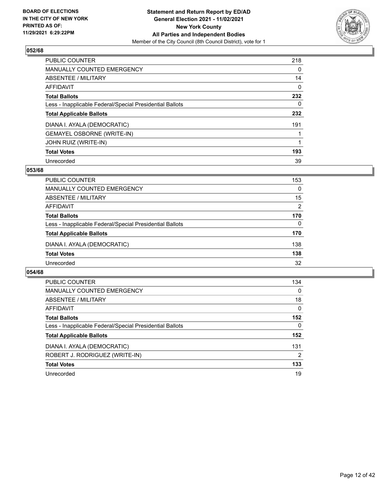

| <b>PUBLIC COUNTER</b>                                    | 218      |
|----------------------------------------------------------|----------|
| <b>MANUALLY COUNTED EMERGENCY</b>                        | $\Omega$ |
| ABSENTEE / MILITARY                                      | 14       |
| <b>AFFIDAVIT</b>                                         | 0        |
| <b>Total Ballots</b>                                     | 232      |
| Less - Inapplicable Federal/Special Presidential Ballots | 0        |
| <b>Total Applicable Ballots</b>                          | 232      |
| DIANA I. AYALA (DEMOCRATIC)                              | 191      |
| <b>GEMAYEL OSBORNE (WRITE-IN)</b>                        |          |
| <b>JOHN RUIZ (WRITE-IN)</b>                              |          |
| <b>Total Votes</b>                                       | 193      |
| Unrecorded                                               | 39       |

## **053/68**

| <b>PUBLIC COUNTER</b>                                    | 153      |
|----------------------------------------------------------|----------|
| MANUALLY COUNTED EMERGENCY                               | $\Omega$ |
| ABSENTEE / MILITARY                                      | 15       |
| AFFIDAVIT                                                | 2        |
| <b>Total Ballots</b>                                     | 170      |
| Less - Inapplicable Federal/Special Presidential Ballots | $\Omega$ |
| <b>Total Applicable Ballots</b>                          | 170      |
| DIANA I. AYALA (DEMOCRATIC)                              | 138      |
| <b>Total Votes</b>                                       | 138      |
| Unrecorded                                               | 32       |

| <b>PUBLIC COUNTER</b>                                    | 134            |
|----------------------------------------------------------|----------------|
| <b>MANUALLY COUNTED EMERGENCY</b>                        | $\Omega$       |
| ABSENTEE / MILITARY                                      | 18             |
| <b>AFFIDAVIT</b>                                         | $\Omega$       |
| <b>Total Ballots</b>                                     | 152            |
| Less - Inapplicable Federal/Special Presidential Ballots | 0              |
| <b>Total Applicable Ballots</b>                          | 152            |
| DIANA I. AYALA (DEMOCRATIC)                              | 131            |
| ROBERT J. RODRIGUEZ (WRITE-IN)                           | $\overline{2}$ |
| <b>Total Votes</b>                                       | 133            |
| Unrecorded                                               | 19             |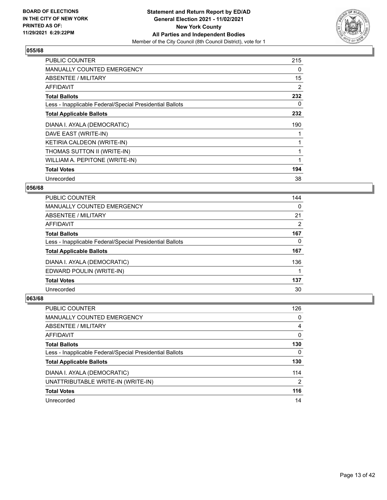

| <b>PUBLIC COUNTER</b>                                    | 215 |
|----------------------------------------------------------|-----|
| <b>MANUALLY COUNTED EMERGENCY</b>                        | 0   |
| <b>ABSENTEE / MILITARY</b>                               | 15  |
| <b>AFFIDAVIT</b>                                         | 2   |
| <b>Total Ballots</b>                                     | 232 |
| Less - Inapplicable Federal/Special Presidential Ballots | 0   |
| <b>Total Applicable Ballots</b>                          | 232 |
| DIANA I. AYALA (DEMOCRATIC)                              | 190 |
| DAVE EAST (WRITE-IN)                                     |     |
| KETIRIA CALDEON (WRITE-IN)                               |     |
| THOMAS SUTTON II (WRITE-IN)                              |     |
| WILLIAM A. PEPITONE (WRITE-IN)                           |     |
| <b>Total Votes</b>                                       | 194 |
| Unrecorded                                               | 38  |

# **056/68**

| <b>PUBLIC COUNTER</b>                                    | 144            |
|----------------------------------------------------------|----------------|
| <b>MANUALLY COUNTED EMERGENCY</b>                        | $\Omega$       |
| ABSENTEE / MILITARY                                      | 21             |
| AFFIDAVIT                                                | $\overline{2}$ |
| <b>Total Ballots</b>                                     | 167            |
| Less - Inapplicable Federal/Special Presidential Ballots | 0              |
| <b>Total Applicable Ballots</b>                          | 167            |
| DIANA I. AYALA (DEMOCRATIC)                              | 136            |
| EDWARD POULIN (WRITE-IN)                                 |                |
| <b>Total Votes</b>                                       | 137            |
| Unrecorded                                               | 30             |

| <b>PUBLIC COUNTER</b>                                    | 126      |
|----------------------------------------------------------|----------|
| <b>MANUALLY COUNTED EMERGENCY</b>                        | $\Omega$ |
| ABSENTEE / MILITARY                                      | 4        |
| AFFIDAVIT                                                | $\Omega$ |
| <b>Total Ballots</b>                                     | 130      |
| Less - Inapplicable Federal/Special Presidential Ballots | $\Omega$ |
| <b>Total Applicable Ballots</b>                          | 130      |
| DIANA I. AYALA (DEMOCRATIC)                              | 114      |
| UNATTRIBUTABLE WRITE-IN (WRITE-IN)                       | 2        |
| <b>Total Votes</b>                                       | 116      |
| Unrecorded                                               | 14       |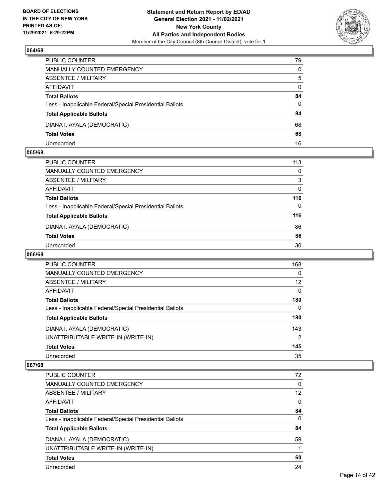

| PUBLIC COUNTER                                           | 79           |
|----------------------------------------------------------|--------------|
| MANUALLY COUNTED EMERGENCY                               | 0            |
| ABSENTEE / MILITARY                                      | 5            |
| AFFIDAVIT                                                | $\mathbf{0}$ |
| <b>Total Ballots</b>                                     | 84           |
| Less - Inapplicable Federal/Special Presidential Ballots | 0            |
| <b>Total Applicable Ballots</b>                          | 84           |
| DIANA I. AYALA (DEMOCRATIC)                              | 68           |
| <b>Total Votes</b>                                       | 68           |
| Unrecorded                                               | 16           |

## **065/68**

| PUBLIC COUNTER                                           | 113      |
|----------------------------------------------------------|----------|
| <b>MANUALLY COUNTED EMERGENCY</b>                        | 0        |
| ABSENTEE / MILITARY                                      | 3        |
| AFFIDAVIT                                                | $\Omega$ |
| <b>Total Ballots</b>                                     | 116      |
| Less - Inapplicable Federal/Special Presidential Ballots | 0        |
| <b>Total Applicable Ballots</b>                          | 116      |
| DIANA I. AYALA (DEMOCRATIC)                              | 86       |
| <b>Total Votes</b>                                       | 86       |
| Unrecorded                                               | 30       |

# **066/68**

| <b>PUBLIC COUNTER</b>                                    | 168          |
|----------------------------------------------------------|--------------|
| MANUALLY COUNTED EMERGENCY                               | $\Omega$     |
| ABSENTEE / MILITARY                                      | 12           |
| <b>AFFIDAVIT</b>                                         | $\Omega$     |
| <b>Total Ballots</b>                                     | 180          |
| Less - Inapplicable Federal/Special Presidential Ballots | $\mathbf{0}$ |
| <b>Total Applicable Ballots</b>                          | 180          |
| DIANA I. AYALA (DEMOCRATIC)                              | 143          |
| UNATTRIBUTABLE WRITE-IN (WRITE-IN)                       | 2            |
| <b>Total Votes</b>                                       | 145          |
| Unrecorded                                               | 35           |

| <b>PUBLIC COUNTER</b>                                    | 72       |
|----------------------------------------------------------|----------|
| <b>MANUALLY COUNTED EMERGENCY</b>                        | $\Omega$ |
| ABSENTEE / MILITARY                                      | 12       |
| AFFIDAVIT                                                | $\Omega$ |
| <b>Total Ballots</b>                                     | 84       |
| Less - Inapplicable Federal/Special Presidential Ballots | $\Omega$ |
| <b>Total Applicable Ballots</b>                          | 84       |
| DIANA I. AYALA (DEMOCRATIC)                              | 59       |
| UNATTRIBUTABLE WRITE-IN (WRITE-IN)                       |          |
|                                                          |          |
| <b>Total Votes</b>                                       | 60       |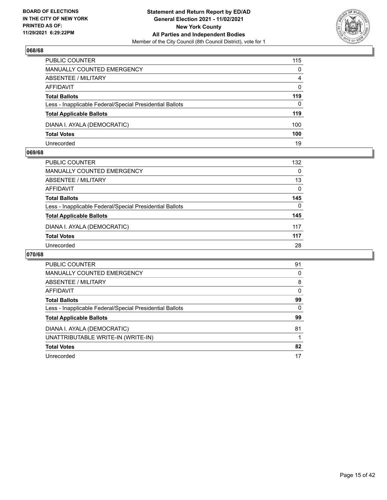

| PUBLIC COUNTER                                           | 115      |
|----------------------------------------------------------|----------|
| <b>MANUALLY COUNTED EMERGENCY</b>                        | $\Omega$ |
| <b>ABSENTEE / MILITARY</b>                               | 4        |
| AFFIDAVIT                                                | $\Omega$ |
| <b>Total Ballots</b>                                     | 119      |
| Less - Inapplicable Federal/Special Presidential Ballots | $\Omega$ |
| <b>Total Applicable Ballots</b>                          | 119      |
| DIANA I. AYALA (DEMOCRATIC)                              | 100      |
| <b>Total Votes</b>                                       | 100      |
| Unrecorded                                               | 19       |

## **069/68**

| <b>PUBLIC COUNTER</b>                                    | 132 |
|----------------------------------------------------------|-----|
|                                                          |     |
| MANUALLY COUNTED EMERGENCY                               | 0   |
| ABSENTEE / MILITARY                                      | 13  |
| AFFIDAVIT                                                | 0   |
| <b>Total Ballots</b>                                     | 145 |
| Less - Inapplicable Federal/Special Presidential Ballots | 0   |
| <b>Total Applicable Ballots</b>                          | 145 |
| DIANA I. AYALA (DEMOCRATIC)                              | 117 |
| <b>Total Votes</b>                                       | 117 |
| Unrecorded                                               | 28  |

| <b>PUBLIC COUNTER</b>                                    | 91       |
|----------------------------------------------------------|----------|
| <b>MANUALLY COUNTED EMERGENCY</b>                        | 0        |
| ABSENTEE / MILITARY                                      | 8        |
| AFFIDAVIT                                                | $\Omega$ |
| <b>Total Ballots</b>                                     | 99       |
| Less - Inapplicable Federal/Special Presidential Ballots | $\Omega$ |
| <b>Total Applicable Ballots</b>                          | 99       |
| DIANA I. AYALA (DEMOCRATIC)                              | 81       |
| UNATTRIBUTABLE WRITE-IN (WRITE-IN)                       |          |
| <b>Total Votes</b>                                       | 82       |
| Unrecorded                                               | 17       |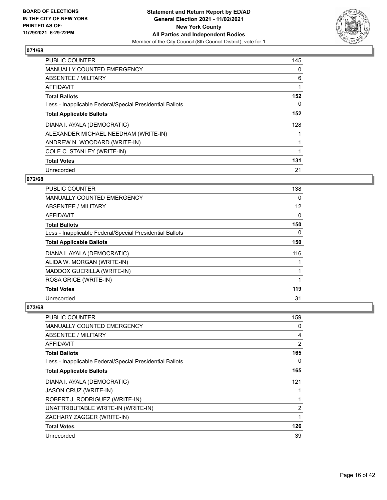

| <b>PUBLIC COUNTER</b>                                    | 145 |
|----------------------------------------------------------|-----|
| <b>MANUALLY COUNTED EMERGENCY</b>                        | 0   |
| ABSENTEE / MILITARY                                      | 6   |
| <b>AFFIDAVIT</b>                                         | 1   |
| <b>Total Ballots</b>                                     | 152 |
| Less - Inapplicable Federal/Special Presidential Ballots | 0   |
| <b>Total Applicable Ballots</b>                          | 152 |
| DIANA I. AYALA (DEMOCRATIC)                              | 128 |
| ALEXANDER MICHAEL NEEDHAM (WRITE-IN)                     |     |
| ANDREW N. WOODARD (WRITE-IN)                             |     |
| COLE C. STANLEY (WRITE-IN)                               | 1   |
| <b>Total Votes</b>                                       | 131 |
| Unrecorded                                               | 21  |

# **072/68**

| PUBLIC COUNTER                                           | 138      |
|----------------------------------------------------------|----------|
| <b>MANUALLY COUNTED EMERGENCY</b>                        | $\Omega$ |
| ABSENTEE / MILITARY                                      | 12       |
| AFFIDAVIT                                                | 0        |
| <b>Total Ballots</b>                                     | 150      |
| Less - Inapplicable Federal/Special Presidential Ballots | 0        |
| <b>Total Applicable Ballots</b>                          | 150      |
| DIANA I. AYALA (DEMOCRATIC)                              | 116      |
| ALIDA W. MORGAN (WRITE-IN)                               |          |
| MADDOX GUERILLA (WRITE-IN)                               |          |
| ROSA GRICE (WRITE-IN)                                    |          |
| <b>Total Votes</b>                                       | 119      |
| Unrecorded                                               | 31       |

| PUBLIC COUNTER                                           | 159            |
|----------------------------------------------------------|----------------|
| MANUALLY COUNTED EMERGENCY                               | 0              |
| ABSENTEE / MILITARY                                      | 4              |
| AFFIDAVIT                                                | $\overline{2}$ |
| <b>Total Ballots</b>                                     | 165            |
| Less - Inapplicable Federal/Special Presidential Ballots | 0              |
| <b>Total Applicable Ballots</b>                          | 165            |
| DIANA I. AYALA (DEMOCRATIC)                              | 121            |
| <b>JASON CRUZ (WRITE-IN)</b>                             | 1              |
| ROBERT J. RODRIGUEZ (WRITE-IN)                           | 1              |
| UNATTRIBUTABLE WRITE-IN (WRITE-IN)                       | $\overline{2}$ |
| ZACHARY ZAGGER (WRITE-IN)                                | 1              |
| <b>Total Votes</b>                                       | 126            |
| Unrecorded                                               | 39             |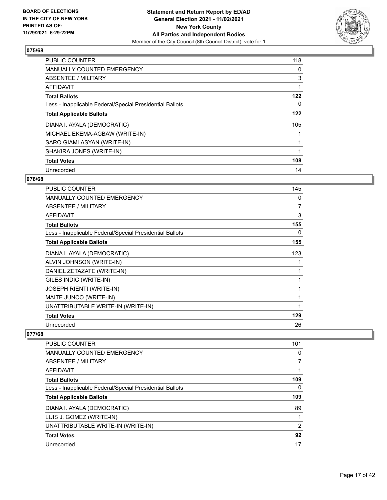

| <b>PUBLIC COUNTER</b>                                    | 118 |
|----------------------------------------------------------|-----|
| <b>MANUALLY COUNTED EMERGENCY</b>                        | 0   |
| ABSENTEE / MILITARY                                      | 3   |
| <b>AFFIDAVIT</b>                                         |     |
| <b>Total Ballots</b>                                     | 122 |
| Less - Inapplicable Federal/Special Presidential Ballots | 0   |
| <b>Total Applicable Ballots</b>                          | 122 |
| DIANA I. AYALA (DEMOCRATIC)                              | 105 |
| MICHAEL EKEMA-AGBAW (WRITE-IN)                           |     |
| SARO GIAMLASYAN (WRITE-IN)                               |     |
| SHAKIRA JONES (WRITE-IN)                                 |     |
| <b>Total Votes</b>                                       | 108 |
| Unrecorded                                               | 14  |

# **076/68**

| <b>PUBLIC COUNTER</b>                                    | 145 |
|----------------------------------------------------------|-----|
| <b>MANUALLY COUNTED EMERGENCY</b>                        | 0   |
| ABSENTEE / MILITARY                                      | 7   |
| <b>AFFIDAVIT</b>                                         | 3   |
| <b>Total Ballots</b>                                     | 155 |
| Less - Inapplicable Federal/Special Presidential Ballots | 0   |
| <b>Total Applicable Ballots</b>                          | 155 |
| DIANA I. AYALA (DEMOCRATIC)                              | 123 |
| ALVIN JOHNSON (WRITE-IN)                                 |     |
| DANIEL ZETAZATE (WRITE-IN)                               | 1   |
| GILES INDIC (WRITE-IN)                                   |     |
| JOSEPH RIENTI (WRITE-IN)                                 | 1   |
| MAITE JUNCO (WRITE-IN)                                   | 1   |
| UNATTRIBUTABLE WRITE-IN (WRITE-IN)                       |     |
| <b>Total Votes</b>                                       | 129 |
| Unrecorded                                               | 26  |

| <b>PUBLIC COUNTER</b>                                    | 101            |
|----------------------------------------------------------|----------------|
| <b>MANUALLY COUNTED EMERGENCY</b>                        | 0              |
| ABSENTEE / MILITARY                                      |                |
| AFFIDAVIT                                                |                |
| <b>Total Ballots</b>                                     | 109            |
| Less - Inapplicable Federal/Special Presidential Ballots | 0              |
| <b>Total Applicable Ballots</b>                          | 109            |
| DIANA I. AYALA (DEMOCRATIC)                              | 89             |
| LUIS J. GOMEZ (WRITE-IN)                                 |                |
| UNATTRIBUTABLE WRITE-IN (WRITE-IN)                       | $\overline{2}$ |
| <b>Total Votes</b>                                       | 92             |
| Unrecorded                                               | 17             |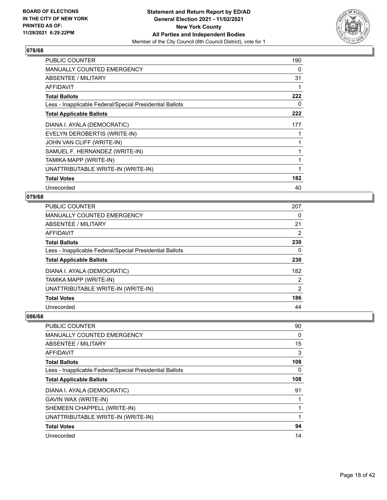

| <b>PUBLIC COUNTER</b>                                    | 190 |
|----------------------------------------------------------|-----|
| <b>MANUALLY COUNTED EMERGENCY</b>                        | 0   |
| ABSENTEE / MILITARY                                      | 31  |
| <b>AFFIDAVIT</b>                                         |     |
| <b>Total Ballots</b>                                     | 222 |
| Less - Inapplicable Federal/Special Presidential Ballots | 0   |
| <b>Total Applicable Ballots</b>                          | 222 |
| DIANA I. AYALA (DEMOCRATIC)                              | 177 |
| EVELYN DEROBERTIS (WRITE-IN)                             |     |
| JOHN VAN CLIFF (WRITE-IN)                                |     |
| SAMUEL F. HERNANDEZ (WRITE-IN)                           |     |
| TAMIKA MAPP (WRITE-IN)                                   |     |
| UNATTRIBUTABLE WRITE-IN (WRITE-IN)                       | 1   |
| <b>Total Votes</b>                                       | 182 |
| Unrecorded                                               | 40  |

#### **079/68**

| <b>PUBLIC COUNTER</b>                                    | 207 |
|----------------------------------------------------------|-----|
| <b>MANUALLY COUNTED EMERGENCY</b>                        | 0   |
| <b>ABSENTEE / MILITARY</b>                               | 21  |
| <b>AFFIDAVIT</b>                                         | 2   |
| <b>Total Ballots</b>                                     | 230 |
| Less - Inapplicable Federal/Special Presidential Ballots | 0   |
| <b>Total Applicable Ballots</b>                          | 230 |
| DIANA I. AYALA (DEMOCRATIC)                              | 182 |
| TAMIKA MAPP (WRITE-IN)                                   | 2   |
| UNATTRIBUTABLE WRITE-IN (WRITE-IN)                       | 2   |
| <b>Total Votes</b>                                       | 186 |
| Unrecorded                                               | 44  |

| PUBLIC COUNTER                                           | 90       |
|----------------------------------------------------------|----------|
| MANUALLY COUNTED EMERGENCY                               | $\Omega$ |
| ABSENTEE / MILITARY                                      | 15       |
| AFFIDAVIT                                                | 3        |
| <b>Total Ballots</b>                                     | 108      |
| Less - Inapplicable Federal/Special Presidential Ballots | 0        |
| <b>Total Applicable Ballots</b>                          | 108      |
| DIANA I. AYALA (DEMOCRATIC)                              | 91       |
| GAVIN WAX (WRITE-IN)                                     |          |
| SHEMEEN CHAPPELL (WRITE-IN)                              |          |
| UNATTRIBUTABLE WRITE-IN (WRITE-IN)                       |          |
| <b>Total Votes</b>                                       | 94       |
| Unrecorded                                               | 14       |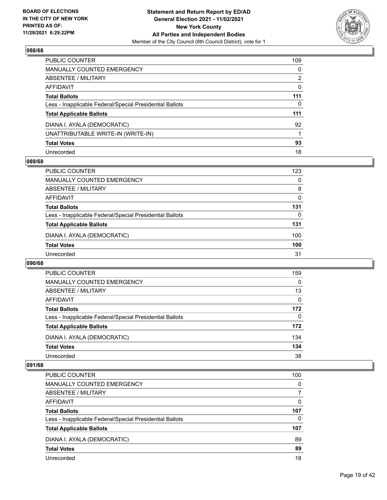

| PUBLIC COUNTER                                           | 109      |
|----------------------------------------------------------|----------|
| <b>MANUALLY COUNTED EMERGENCY</b>                        | 0        |
| <b>ABSENTEE / MILITARY</b>                               | 2        |
| AFFIDAVIT                                                | $\Omega$ |
| <b>Total Ballots</b>                                     | 111      |
| Less - Inapplicable Federal/Special Presidential Ballots | 0        |
| <b>Total Applicable Ballots</b>                          | 111      |
| DIANA I. AYALA (DEMOCRATIC)                              | 92       |
| UNATTRIBUTABLE WRITE-IN (WRITE-IN)                       |          |
| <b>Total Votes</b>                                       | 93       |
| Unrecorded                                               | 18       |

## **089/68**

| <b>PUBLIC COUNTER</b>                                    | 123 |
|----------------------------------------------------------|-----|
| MANUALLY COUNTED EMERGENCY                               | 0   |
| ABSENTEE / MILITARY                                      | 8   |
| AFFIDAVIT                                                | 0   |
| <b>Total Ballots</b>                                     | 131 |
| Less - Inapplicable Federal/Special Presidential Ballots | 0   |
| <b>Total Applicable Ballots</b>                          | 131 |
| DIANA I. AYALA (DEMOCRATIC)                              | 100 |
| <b>Total Votes</b>                                       | 100 |
| Unrecorded                                               | 31  |

## **090/68**

| <b>PUBLIC COUNTER</b>                                    | 159      |
|----------------------------------------------------------|----------|
| <b>MANUALLY COUNTED EMERGENCY</b>                        | $\Omega$ |
| ABSENTEE / MILITARY                                      | 13       |
| AFFIDAVIT                                                | 0        |
| <b>Total Ballots</b>                                     | 172      |
| Less - Inapplicable Federal/Special Presidential Ballots | $\Omega$ |
| <b>Total Applicable Ballots</b>                          | 172      |
| DIANA I. AYALA (DEMOCRATIC)                              | 134      |
| <b>Total Votes</b>                                       | 134      |
| Unrecorded                                               | 38       |

| <b>PUBLIC COUNTER</b>                                    | 100      |
|----------------------------------------------------------|----------|
| <b>MANUALLY COUNTED EMERGENCY</b>                        | $\Omega$ |
| <b>ABSENTEE / MILITARY</b>                               | 7        |
| AFFIDAVIT                                                | $\Omega$ |
| <b>Total Ballots</b>                                     | 107      |
| Less - Inapplicable Federal/Special Presidential Ballots | 0        |
| <b>Total Applicable Ballots</b>                          | 107      |
| DIANA I. AYALA (DEMOCRATIC)                              | 89       |
| <b>Total Votes</b>                                       | 89       |
| Unrecorded                                               | 18       |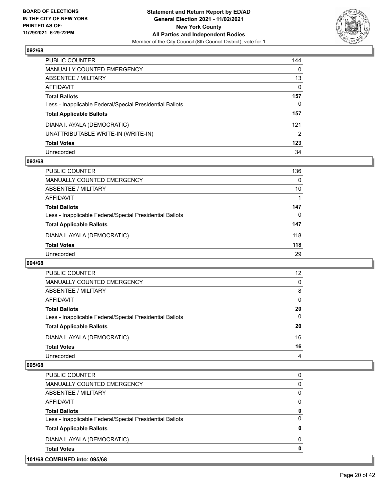

| PUBLIC COUNTER                                           | 144      |
|----------------------------------------------------------|----------|
| <b>MANUALLY COUNTED EMERGENCY</b>                        | $\Omega$ |
| <b>ABSENTEE / MILITARY</b>                               | 13       |
| AFFIDAVIT                                                | $\Omega$ |
| <b>Total Ballots</b>                                     | 157      |
| Less - Inapplicable Federal/Special Presidential Ballots | 0        |
| <b>Total Applicable Ballots</b>                          | 157      |
| DIANA I. AYALA (DEMOCRATIC)                              | 121      |
| UNATTRIBUTABLE WRITE-IN (WRITE-IN)                       | 2        |
| <b>Total Votes</b>                                       | 123      |
| Unrecorded                                               | 34       |

## **093/68**

| <b>PUBLIC COUNTER</b>                                    | 136      |
|----------------------------------------------------------|----------|
| MANUALLY COUNTED EMERGENCY                               | $\Omega$ |
| ABSENTEE / MILITARY                                      | 10       |
| AFFIDAVIT                                                |          |
| <b>Total Ballots</b>                                     | 147      |
| Less - Inapplicable Federal/Special Presidential Ballots | 0        |
| <b>Total Applicable Ballots</b>                          | 147      |
| DIANA I. AYALA (DEMOCRATIC)                              | 118      |
| <b>Total Votes</b>                                       | 118      |
| Unrecorded                                               | 29       |

## **094/68**

| <b>PUBLIC COUNTER</b>                                    | 12       |
|----------------------------------------------------------|----------|
| <b>MANUALLY COUNTED EMERGENCY</b>                        | $\Omega$ |
| ABSENTEE / MILITARY                                      | 8        |
| AFFIDAVIT                                                | $\Omega$ |
| <b>Total Ballots</b>                                     | 20       |
| Less - Inapplicable Federal/Special Presidential Ballots | $\Omega$ |
| <b>Total Applicable Ballots</b>                          | 20       |
| DIANA I. AYALA (DEMOCRATIC)                              | 16       |
| <b>Total Votes</b>                                       | 16       |
| Unrecorded                                               | 4        |

| 101/68 COMBINED into: 095/68 |                                                          |          |
|------------------------------|----------------------------------------------------------|----------|
| <b>Total Votes</b>           |                                                          | 0        |
|                              | DIANA I. AYALA (DEMOCRATIC)                              | $\Omega$ |
|                              | <b>Total Applicable Ballots</b>                          | 0        |
|                              | Less - Inapplicable Federal/Special Presidential Ballots | 0        |
| <b>Total Ballots</b>         |                                                          | 0        |
| AFFIDAVIT                    |                                                          | 0        |
|                              | ABSENTEE / MILITARY                                      | 0        |
|                              | MANUALLY COUNTED EMERGENCY                               | 0        |
|                              | PUBLIC COUNTER                                           | 0        |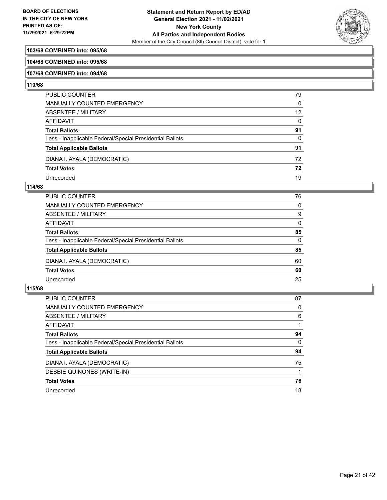

# **103/68 COMBINED into: 095/68**

#### **104/68 COMBINED into: 095/68**

#### **107/68 COMBINED into: 094/68**

#### **110/68**

| PUBLIC COUNTER                                           | 79 |
|----------------------------------------------------------|----|
| <b>MANUALLY COUNTED EMERGENCY</b>                        | 0  |
| <b>ABSENTEE / MILITARY</b>                               | 12 |
| <b>AFFIDAVIT</b>                                         | 0  |
| <b>Total Ballots</b>                                     | 91 |
| Less - Inapplicable Federal/Special Presidential Ballots | 0  |
| <b>Total Applicable Ballots</b>                          | 91 |
| DIANA I. AYALA (DEMOCRATIC)                              | 72 |
| <b>Total Votes</b>                                       | 72 |
| Unrecorded                                               | 19 |

#### **114/68**

| <b>MANUALLY COUNTED EMERGENCY</b>                        | $\Omega$<br>9<br>$\Omega$ |
|----------------------------------------------------------|---------------------------|
|                                                          |                           |
| ABSENTEE / MILITARY                                      |                           |
| AFFIDAVIT                                                |                           |
| <b>Total Ballots</b>                                     | 85                        |
| Less - Inapplicable Federal/Special Presidential Ballots | $\Omega$                  |
| <b>Total Applicable Ballots</b>                          | 85                        |
| DIANA I. AYALA (DEMOCRATIC)                              | 60                        |
| <b>Total Votes</b>                                       | 60                        |
| Unrecorded                                               | 25                        |

| PUBLIC COUNTER                                           | 87       |
|----------------------------------------------------------|----------|
| <b>MANUALLY COUNTED EMERGENCY</b>                        | 0        |
| ABSENTEE / MILITARY                                      | 6        |
| AFFIDAVIT                                                |          |
| <b>Total Ballots</b>                                     | 94       |
| Less - Inapplicable Federal/Special Presidential Ballots | $\Omega$ |
| <b>Total Applicable Ballots</b>                          | 94       |
| DIANA I. AYALA (DEMOCRATIC)                              | 75       |
| DEBBIE QUINONES (WRITE-IN)                               |          |
| <b>Total Votes</b>                                       | 76       |
| Unrecorded                                               | 18       |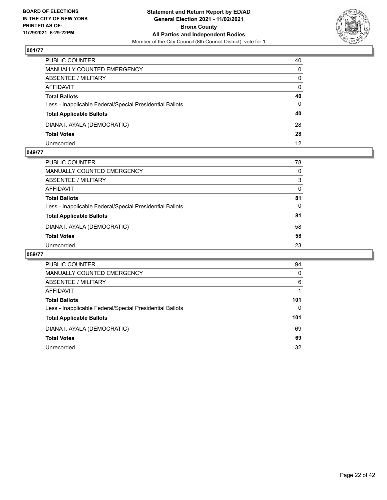

| PUBLIC COUNTER                                           | 40           |
|----------------------------------------------------------|--------------|
| <b>MANUALLY COUNTED EMERGENCY</b>                        | $\Omega$     |
| ABSENTEE / MILITARY                                      | $\mathbf{0}$ |
| AFFIDAVIT                                                | $\mathbf{0}$ |
| <b>Total Ballots</b>                                     | 40           |
| Less - Inapplicable Federal/Special Presidential Ballots | $\Omega$     |
| <b>Total Applicable Ballots</b>                          | 40           |
| DIANA I. AYALA (DEMOCRATIC)                              | 28           |
| <b>Total Votes</b>                                       | 28           |
| Unrecorded                                               | 12           |

## **049/77**

| PUBLIC COUNTER                                           | 78       |
|----------------------------------------------------------|----------|
| <b>MANUALLY COUNTED EMERGENCY</b>                        | $\Omega$ |
| <b>ABSENTEE / MILITARY</b>                               | 3        |
| <b>AFFIDAVIT</b>                                         | 0        |
| <b>Total Ballots</b>                                     | 81       |
| Less - Inapplicable Federal/Special Presidential Ballots | $\Omega$ |
| <b>Total Applicable Ballots</b>                          | 81       |
| DIANA I. AYALA (DEMOCRATIC)                              | 58       |
| <b>Total Votes</b>                                       | 58       |
| Unrecorded                                               | 23       |

| <b>PUBLIC COUNTER</b>                                    | 94       |
|----------------------------------------------------------|----------|
| MANUALLY COUNTED EMERGENCY                               | $\Omega$ |
| <b>ABSENTEE / MILITARY</b>                               | 6        |
| AFFIDAVIT                                                |          |
| <b>Total Ballots</b>                                     | 101      |
| Less - Inapplicable Federal/Special Presidential Ballots | 0        |
| <b>Total Applicable Ballots</b>                          | 101      |
| DIANA I. AYALA (DEMOCRATIC)                              | 69       |
| <b>Total Votes</b>                                       | 69       |
| Unrecorded                                               | 32       |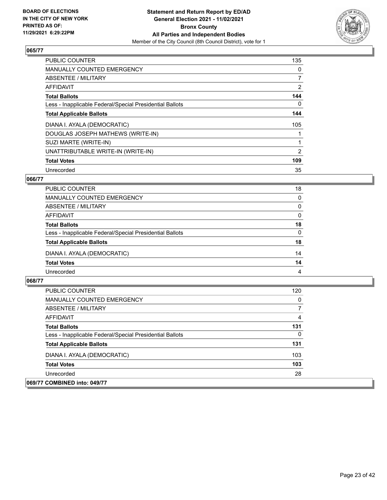

| <b>PUBLIC COUNTER</b>                                    | 135            |
|----------------------------------------------------------|----------------|
| MANUALLY COUNTED EMERGENCY                               | 0              |
| ABSENTEE / MILITARY                                      | $\overline{7}$ |
| <b>AFFIDAVIT</b>                                         | $\overline{2}$ |
| <b>Total Ballots</b>                                     | 144            |
| Less - Inapplicable Federal/Special Presidential Ballots | 0              |
| <b>Total Applicable Ballots</b>                          | 144            |
| DIANA I. AYALA (DEMOCRATIC)                              | 105            |
| DOUGLAS JOSEPH MATHEWS (WRITE-IN)                        |                |
| SUZI MARTE (WRITE-IN)                                    |                |
| UNATTRIBUTABLE WRITE-IN (WRITE-IN)                       | 2              |
| <b>Total Votes</b>                                       | 109            |
| Unrecorded                                               | 35             |

# **066/77**

| PUBLIC COUNTER                                           | 18       |
|----------------------------------------------------------|----------|
| MANUALLY COUNTED EMERGENCY                               | $\Omega$ |
| ABSENTEE / MILITARY                                      | $\Omega$ |
| AFFIDAVIT                                                | $\Omega$ |
| <b>Total Ballots</b>                                     | 18       |
| Less - Inapplicable Federal/Special Presidential Ballots | $\Omega$ |
| <b>Total Applicable Ballots</b>                          | 18       |
| DIANA I. AYALA (DEMOCRATIC)                              | 14       |
| <b>Total Votes</b>                                       | 14       |
| Unrecorded                                               | 4        |

| PUBLIC COUNTER                                           | 120 |
|----------------------------------------------------------|-----|
| <b>MANUALLY COUNTED EMERGENCY</b>                        | 0   |
| ABSENTEE / MILITARY                                      | 7   |
| <b>AFFIDAVIT</b>                                         | 4   |
| <b>Total Ballots</b>                                     | 131 |
| Less - Inapplicable Federal/Special Presidential Ballots | 0   |
| <b>Total Applicable Ballots</b>                          | 131 |
| DIANA I. AYALA (DEMOCRATIC)                              | 103 |
| <b>Total Votes</b>                                       | 103 |
| Unrecorded                                               | 28  |
| 069/77 COMBINED into: 049/77                             |     |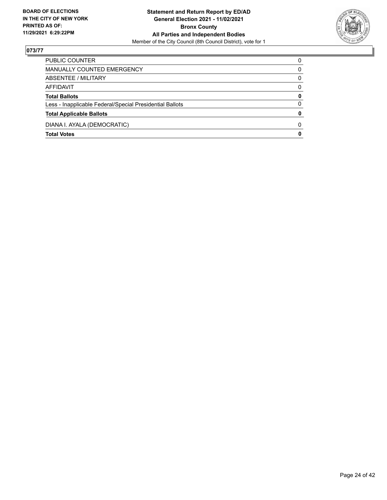

| PUBLIC COUNTER                                           | 0            |
|----------------------------------------------------------|--------------|
| MANUALLY COUNTED EMERGENCY                               | 0            |
| ABSENTEE / MILITARY                                      | 0            |
| AFFIDAVIT                                                | $\Omega$     |
| <b>Total Ballots</b>                                     | 0            |
| Less - Inapplicable Federal/Special Presidential Ballots | $\Omega$     |
| <b>Total Applicable Ballots</b>                          | 0            |
| DIANA I. AYALA (DEMOCRATIC)                              | <sup>0</sup> |
| <b>Total Votes</b>                                       | 0            |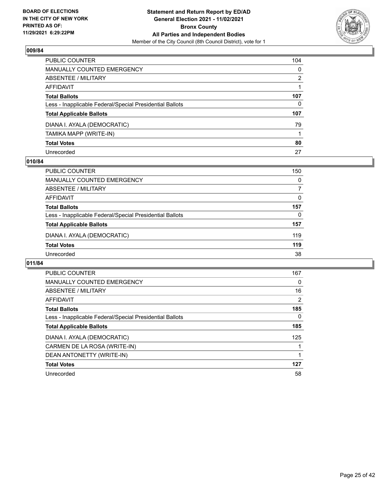

| PUBLIC COUNTER                                           | 104          |
|----------------------------------------------------------|--------------|
| <b>MANUALLY COUNTED EMERGENCY</b>                        | $\mathbf{0}$ |
| <b>ABSENTEE / MILITARY</b>                               | 2            |
| <b>AFFIDAVIT</b>                                         |              |
| <b>Total Ballots</b>                                     | 107          |
| Less - Inapplicable Federal/Special Presidential Ballots | 0            |
| <b>Total Applicable Ballots</b>                          | 107          |
| DIANA I. AYALA (DEMOCRATIC)                              | 79           |
| TAMIKA MAPP (WRITE-IN)                                   |              |
| <b>Total Votes</b>                                       | 80           |
| Unrecorded                                               | 27           |

## **010/84**

| <b>PUBLIC COUNTER</b>                                    | 150      |
|----------------------------------------------------------|----------|
| MANUALLY COUNTED EMERGENCY                               | $\Omega$ |
| ABSENTEE / MILITARY                                      | 7        |
| AFFIDAVIT                                                | $\Omega$ |
| <b>Total Ballots</b>                                     | 157      |
| Less - Inapplicable Federal/Special Presidential Ballots | $\Omega$ |
| <b>Total Applicable Ballots</b>                          | 157      |
| DIANA I. AYALA (DEMOCRATIC)                              | 119      |
| <b>Total Votes</b>                                       | 119      |
| Unrecorded                                               | 38       |

| <b>PUBLIC COUNTER</b>                                    | 167 |
|----------------------------------------------------------|-----|
| <b>MANUALLY COUNTED EMERGENCY</b>                        | 0   |
| ABSENTEE / MILITARY                                      | 16  |
| AFFIDAVIT                                                | 2   |
| <b>Total Ballots</b>                                     | 185 |
| Less - Inapplicable Federal/Special Presidential Ballots | 0   |
| <b>Total Applicable Ballots</b>                          | 185 |
| DIANA I. AYALA (DEMOCRATIC)                              | 125 |
| CARMEN DE LA ROSA (WRITE-IN)                             |     |
| DEAN ANTONETTY (WRITE-IN)                                |     |
| <b>Total Votes</b>                                       | 127 |
| Unrecorded                                               | 58  |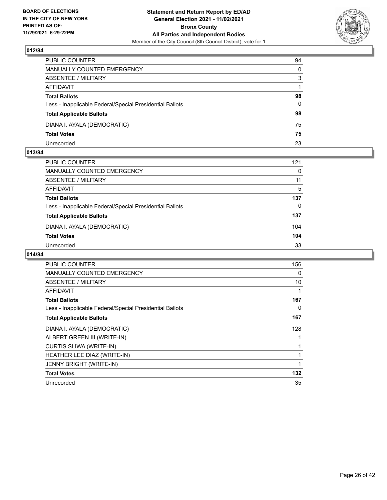

| PUBLIC COUNTER                                           | 94           |
|----------------------------------------------------------|--------------|
| <b>MANUALLY COUNTED EMERGENCY</b>                        | $\mathbf{0}$ |
| ABSENTEE / MILITARY                                      | 3            |
| AFFIDAVIT                                                |              |
| <b>Total Ballots</b>                                     | 98           |
| Less - Inapplicable Federal/Special Presidential Ballots | $\Omega$     |
| <b>Total Applicable Ballots</b>                          | 98           |
| DIANA I. AYALA (DEMOCRATIC)                              | 75           |
| <b>Total Votes</b>                                       | 75           |
| Unrecorded                                               | 23           |

## **013/84**

| <b>PUBLIC COUNTER</b>                                    | 121      |
|----------------------------------------------------------|----------|
| MANUALLY COUNTED EMERGENCY                               | $\Omega$ |
| ABSENTEE / MILITARY                                      | 11       |
| AFFIDAVIT                                                | 5        |
| <b>Total Ballots</b>                                     | 137      |
| Less - Inapplicable Federal/Special Presidential Ballots | 0        |
| <b>Total Applicable Ballots</b>                          | 137      |
| DIANA I. AYALA (DEMOCRATIC)                              | 104      |
| <b>Total Votes</b>                                       | 104      |
| Unrecorded                                               | 33       |
|                                                          |          |

| <b>PUBLIC COUNTER</b>                                    | 156 |
|----------------------------------------------------------|-----|
| MANUALLY COUNTED EMERGENCY                               | 0   |
| ABSENTEE / MILITARY                                      | 10  |
| AFFIDAVIT                                                | 1   |
| <b>Total Ballots</b>                                     | 167 |
| Less - Inapplicable Federal/Special Presidential Ballots | 0   |
| <b>Total Applicable Ballots</b>                          | 167 |
| DIANA I. AYALA (DEMOCRATIC)                              | 128 |
| ALBERT GREEN III (WRITE-IN)                              | 1   |
| <b>CURTIS SLIWA (WRITE-IN)</b>                           | 1   |
| HEATHER LEE DIAZ (WRITE-IN)                              | 1   |
| <b>JENNY BRIGHT (WRITE-IN)</b>                           | 1   |
| <b>Total Votes</b>                                       | 132 |
| Unrecorded                                               | 35  |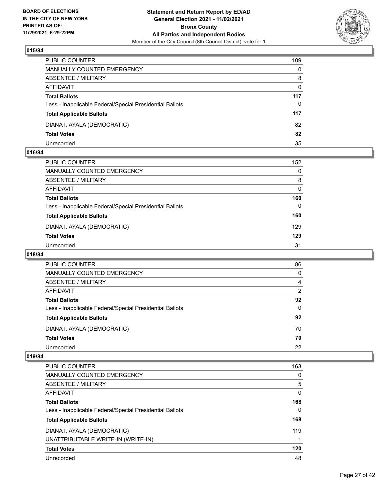

| PUBLIC COUNTER                                           | 109      |
|----------------------------------------------------------|----------|
| <b>MANUALLY COUNTED EMERGENCY</b>                        | $\Omega$ |
| <b>ABSENTEE / MILITARY</b>                               | 8        |
| AFFIDAVIT                                                | $\Omega$ |
| <b>Total Ballots</b>                                     | 117      |
| Less - Inapplicable Federal/Special Presidential Ballots | $\Omega$ |
| <b>Total Applicable Ballots</b>                          | 117      |
| DIANA I. AYALA (DEMOCRATIC)                              | 82       |
| <b>Total Votes</b>                                       | 82       |
| Unrecorded                                               | 35       |

## **016/84**

| PUBLIC COUNTER                                           | 152      |
|----------------------------------------------------------|----------|
| <b>MANUALLY COUNTED EMERGENCY</b>                        | $\Omega$ |
| ABSENTEE / MILITARY                                      | 8        |
| AFFIDAVIT                                                | $\Omega$ |
| <b>Total Ballots</b>                                     | 160      |
| Less - Inapplicable Federal/Special Presidential Ballots | $\Omega$ |
| <b>Total Applicable Ballots</b>                          | 160      |
| DIANA I. AYALA (DEMOCRATIC)                              | 129      |
| <b>Total Votes</b>                                       | 129      |
| Unrecorded                                               | 31       |
|                                                          |          |

# **018/84**

| PUBLIC COUNTER                                           | 86       |
|----------------------------------------------------------|----------|
| MANUALLY COUNTED EMERGENCY                               | 0        |
| ABSENTEE / MILITARY                                      | 4        |
| AFFIDAVIT                                                | 2        |
| <b>Total Ballots</b>                                     | 92       |
| Less - Inapplicable Federal/Special Presidential Ballots | $\Omega$ |
| <b>Total Applicable Ballots</b>                          | 92       |
| DIANA I. AYALA (DEMOCRATIC)                              | 70       |
| <b>Total Votes</b>                                       | 70       |
| Unrecorded                                               | 22       |

| PUBLIC COUNTER                                           | 163 |
|----------------------------------------------------------|-----|
| <b>MANUALLY COUNTED EMERGENCY</b>                        | 0   |
| ABSENTEE / MILITARY                                      | 5   |
| AFFIDAVIT                                                | 0   |
| <b>Total Ballots</b>                                     | 168 |
| Less - Inapplicable Federal/Special Presidential Ballots | 0   |
| <b>Total Applicable Ballots</b>                          | 168 |
| DIANA I. AYALA (DEMOCRATIC)                              | 119 |
| UNATTRIBUTABLE WRITE-IN (WRITE-IN)                       | 1   |
| <b>Total Votes</b>                                       | 120 |
| Unrecorded                                               | 48  |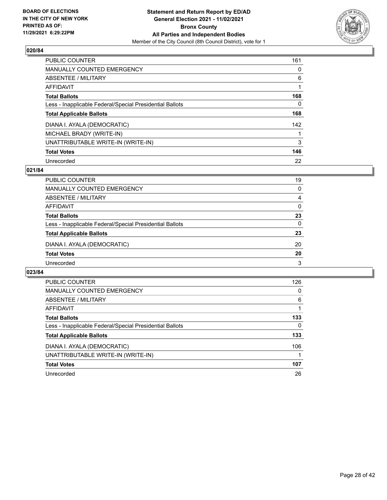

| <b>PUBLIC COUNTER</b>                                    | 161      |
|----------------------------------------------------------|----------|
| <b>MANUALLY COUNTED EMERGENCY</b>                        | $\Omega$ |
| ABSENTEE / MILITARY                                      | 6        |
| AFFIDAVIT                                                |          |
| <b>Total Ballots</b>                                     | 168      |
| Less - Inapplicable Federal/Special Presidential Ballots | 0        |
| <b>Total Applicable Ballots</b>                          | 168      |
| DIANA I. AYALA (DEMOCRATIC)                              | 142      |
| MICHAEL BRADY (WRITE-IN)                                 |          |
| UNATTRIBUTABLE WRITE-IN (WRITE-IN)                       | 3        |
| <b>Total Votes</b>                                       | 146      |
| Unrecorded                                               | 22       |

## **021/84**

| <b>PUBLIC COUNTER</b>                                    | 19       |
|----------------------------------------------------------|----------|
| MANUALLY COUNTED EMERGENCY                               | $\Omega$ |
| ABSENTEE / MILITARY                                      | 4        |
| AFFIDAVIT                                                | $\Omega$ |
| <b>Total Ballots</b>                                     | 23       |
| Less - Inapplicable Federal/Special Presidential Ballots | $\Omega$ |
| <b>Total Applicable Ballots</b>                          | 23       |
| DIANA I. AYALA (DEMOCRATIC)                              | 20       |
| <b>Total Votes</b>                                       | 20       |
| Unrecorded                                               | 3        |

| <b>PUBLIC COUNTER</b>                                    | 126 |
|----------------------------------------------------------|-----|
| <b>MANUALLY COUNTED EMERGENCY</b>                        | 0   |
| ABSENTEE / MILITARY                                      | 6   |
| AFFIDAVIT                                                |     |
| <b>Total Ballots</b>                                     | 133 |
| Less - Inapplicable Federal/Special Presidential Ballots | 0   |
| <b>Total Applicable Ballots</b>                          | 133 |
| DIANA I. AYALA (DEMOCRATIC)                              | 106 |
| UNATTRIBUTABLE WRITE-IN (WRITE-IN)                       |     |
| <b>Total Votes</b>                                       | 107 |
| Unrecorded                                               | 26  |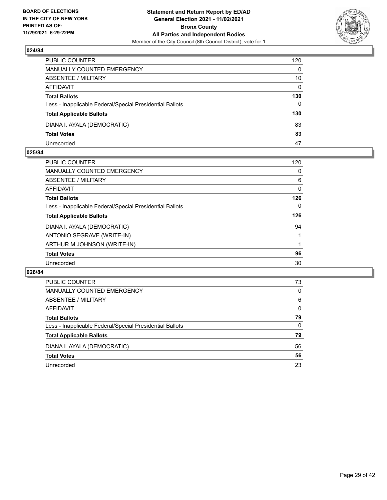

| PUBLIC COUNTER                                           | 120          |
|----------------------------------------------------------|--------------|
| MANUALLY COUNTED EMERGENCY                               | $\Omega$     |
| <b>ABSENTEE / MILITARY</b>                               | 10           |
| AFFIDAVIT                                                | $\mathbf{0}$ |
| <b>Total Ballots</b>                                     | 130          |
| Less - Inapplicable Federal/Special Presidential Ballots | $\mathbf{0}$ |
| <b>Total Applicable Ballots</b>                          | 130          |
| DIANA I. AYALA (DEMOCRATIC)                              | 83           |
| <b>Total Votes</b>                                       | 83           |
| Unrecorded                                               | 47           |

## **025/84**

| PUBLIC COUNTER                                           | 120 |
|----------------------------------------------------------|-----|
| <b>MANUALLY COUNTED EMERGENCY</b>                        | 0   |
| ABSENTEE / MILITARY                                      | 6   |
| AFFIDAVIT                                                | 0   |
| <b>Total Ballots</b>                                     | 126 |
| Less - Inapplicable Federal/Special Presidential Ballots | 0   |
| <b>Total Applicable Ballots</b>                          | 126 |
| DIANA I. AYALA (DEMOCRATIC)                              | 94  |
| ANTONIO SEGRAVE (WRITE-IN)                               |     |
| ARTHUR M JOHNSON (WRITE-IN)                              |     |
| <b>Total Votes</b>                                       | 96  |
| Unrecorded                                               | 30  |
|                                                          |     |

| PUBLIC COUNTER                                           | 73       |
|----------------------------------------------------------|----------|
| <b>MANUALLY COUNTED EMERGENCY</b>                        | 0        |
| ABSENTEE / MILITARY                                      | 6        |
| AFFIDAVIT                                                | $\Omega$ |
| <b>Total Ballots</b>                                     | 79       |
| Less - Inapplicable Federal/Special Presidential Ballots | 0        |
| <b>Total Applicable Ballots</b>                          | 79       |
| DIANA I. AYALA (DEMOCRATIC)                              | 56       |
| <b>Total Votes</b>                                       | 56       |
| Unrecorded                                               | 23       |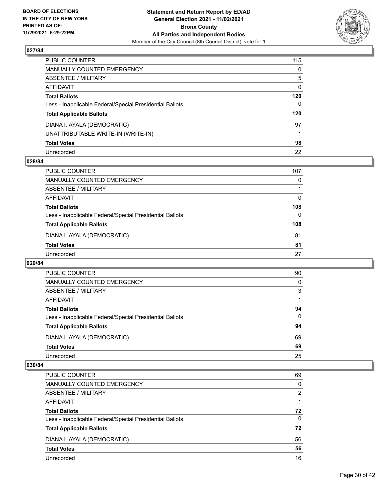

| PUBLIC COUNTER                                           | 115          |
|----------------------------------------------------------|--------------|
| MANUALLY COUNTED EMERGENCY                               | 0            |
| ABSENTEE / MILITARY                                      | 5            |
| AFFIDAVIT                                                | $\mathbf{0}$ |
| Total Ballots                                            | 120          |
| Less - Inapplicable Federal/Special Presidential Ballots | $\Omega$     |
| <b>Total Applicable Ballots</b>                          | 120          |
| DIANA I. AYALA (DEMOCRATIC)                              | 97           |
| UNATTRIBUTABLE WRITE-IN (WRITE-IN)                       |              |
| <b>Total Votes</b>                                       | 98           |
| Unrecorded                                               | 22           |

## **028/84**

| PUBLIC COUNTER                                           | 107      |
|----------------------------------------------------------|----------|
| <b>MANUALLY COUNTED EMERGENCY</b>                        | 0        |
| ABSENTEE / MILITARY                                      |          |
| AFFIDAVIT                                                | $\Omega$ |
| <b>Total Ballots</b>                                     | 108      |
| Less - Inapplicable Federal/Special Presidential Ballots | $\Omega$ |
| <b>Total Applicable Ballots</b>                          | 108      |
| DIANA I. AYALA (DEMOCRATIC)                              | 81       |
| <b>Total Votes</b>                                       | 81       |
| Unrecorded                                               | 27       |
|                                                          |          |

#### **029/84**

| PUBLIC COUNTER                                           | 90       |
|----------------------------------------------------------|----------|
| <b>MANUALLY COUNTED EMERGENCY</b>                        | $\Omega$ |
| ABSENTEE / MILITARY                                      | 3        |
| AFFIDAVIT                                                |          |
| <b>Total Ballots</b>                                     | 94       |
| Less - Inapplicable Federal/Special Presidential Ballots | $\Omega$ |
| <b>Total Applicable Ballots</b>                          | 94       |
| DIANA I. AYALA (DEMOCRATIC)                              | 69       |
| <b>Total Votes</b>                                       | 69       |
| Unrecorded                                               | 25       |

| PUBLIC COUNTER                                           | 69       |
|----------------------------------------------------------|----------|
| <b>MANUALLY COUNTED EMERGENCY</b>                        | 0        |
| ABSENTEE / MILITARY                                      | 2        |
| AFFIDAVIT                                                |          |
| <b>Total Ballots</b>                                     | 72       |
| Less - Inapplicable Federal/Special Presidential Ballots | $\Omega$ |
| <b>Total Applicable Ballots</b>                          | 72       |
| DIANA I. AYALA (DEMOCRATIC)                              | 56       |
| <b>Total Votes</b>                                       | 56       |
| Unrecorded                                               | 16       |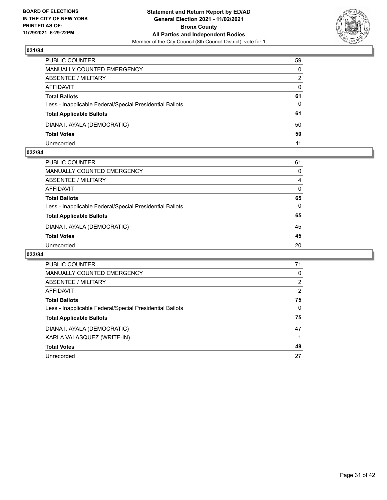

| PUBLIC COUNTER                                           | 59       |
|----------------------------------------------------------|----------|
| MANUALLY COUNTED EMERGENCY                               | $\Omega$ |
| <b>ABSENTEE / MILITARY</b>                               | 2        |
| AFFIDAVIT                                                | $\Omega$ |
| <b>Total Ballots</b>                                     | 61       |
| Less - Inapplicable Federal/Special Presidential Ballots | $\Omega$ |
| <b>Total Applicable Ballots</b>                          | 61       |
| DIANA I. AYALA (DEMOCRATIC)                              | 50       |
| <b>Total Votes</b>                                       | 50       |
| Unrecorded                                               | 11       |

## **032/84**

| PUBLIC COUNTER                                           | 61       |
|----------------------------------------------------------|----------|
| <b>MANUALLY COUNTED EMERGENCY</b>                        | 0        |
| <b>ABSENTEE / MILITARY</b>                               | 4        |
| <b>AFFIDAVIT</b>                                         | 0        |
| <b>Total Ballots</b>                                     | 65       |
| Less - Inapplicable Federal/Special Presidential Ballots | $\Omega$ |
| <b>Total Applicable Ballots</b>                          | 65       |
| DIANA I. AYALA (DEMOCRATIC)                              | 45       |
| <b>Total Votes</b>                                       | 45       |
| Unrecorded                                               | 20       |

| <b>PUBLIC COUNTER</b>                                    | 71       |
|----------------------------------------------------------|----------|
| MANUALLY COUNTED EMERGENCY                               | 0        |
| ABSENTEE / MILITARY                                      | 2        |
| AFFIDAVIT                                                | 2        |
| <b>Total Ballots</b>                                     | 75       |
| Less - Inapplicable Federal/Special Presidential Ballots | $\Omega$ |
| <b>Total Applicable Ballots</b>                          | 75       |
| DIANA I. AYALA (DEMOCRATIC)                              | 47       |
| KARLA VALASQUEZ (WRITE-IN)                               |          |
| <b>Total Votes</b>                                       | 48       |
| Unrecorded                                               | 27       |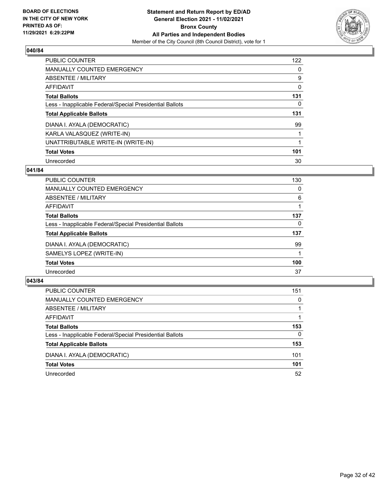

| <b>PUBLIC COUNTER</b>                                    | 122      |
|----------------------------------------------------------|----------|
| <b>MANUALLY COUNTED EMERGENCY</b>                        | $\Omega$ |
| ABSENTEE / MILITARY                                      | 9        |
| AFFIDAVIT                                                | 0        |
| <b>Total Ballots</b>                                     | 131      |
| Less - Inapplicable Federal/Special Presidential Ballots | 0        |
| <b>Total Applicable Ballots</b>                          | 131      |
| DIANA I. AYALA (DEMOCRATIC)                              | 99       |
| KARLA VALASQUEZ (WRITE-IN)                               |          |
| UNATTRIBUTABLE WRITE-IN (WRITE-IN)                       |          |
| <b>Total Votes</b>                                       | 101      |
| Unrecorded                                               | 30       |

## **041/84**

| <b>PUBLIC COUNTER</b>                                    | 130      |
|----------------------------------------------------------|----------|
| MANUALLY COUNTED EMERGENCY                               | 0        |
| ABSENTEE / MILITARY                                      | 6        |
| <b>AFFIDAVIT</b>                                         |          |
| <b>Total Ballots</b>                                     | 137      |
| Less - Inapplicable Federal/Special Presidential Ballots | $\Omega$ |
| <b>Total Applicable Ballots</b>                          | 137      |
| DIANA I. AYALA (DEMOCRATIC)                              | 99       |
| SAMELYS LOPEZ (WRITE-IN)                                 |          |
| <b>Total Votes</b>                                       | 100      |
| Unrecorded                                               | 37       |

| <b>PUBLIC COUNTER</b>                                    | 151      |
|----------------------------------------------------------|----------|
| MANUALLY COUNTED EMERGENCY                               | $\Omega$ |
| ABSENTEE / MILITARY                                      |          |
| AFFIDAVIT                                                |          |
| <b>Total Ballots</b>                                     | 153      |
| Less - Inapplicable Federal/Special Presidential Ballots | $\Omega$ |
| <b>Total Applicable Ballots</b>                          | 153      |
| DIANA I. AYALA (DEMOCRATIC)                              | 101      |
| <b>Total Votes</b>                                       | 101      |
| Unrecorded                                               | 52       |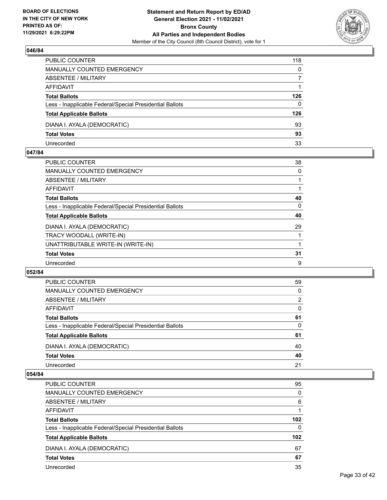

| PUBLIC COUNTER                                           | 118      |
|----------------------------------------------------------|----------|
| <b>MANUALLY COUNTED EMERGENCY</b>                        | 0        |
| <b>ABSENTEE / MILITARY</b>                               |          |
| AFFIDAVIT                                                |          |
| <b>Total Ballots</b>                                     | 126      |
| Less - Inapplicable Federal/Special Presidential Ballots | $\Omega$ |
| <b>Total Applicable Ballots</b>                          | 126      |
| DIANA I. AYALA (DEMOCRATIC)                              | 93       |
| <b>Total Votes</b>                                       | 93       |
| Unrecorded                                               | 33       |

## **047/84**

| <b>PUBLIC COUNTER</b>                                    | 38 |
|----------------------------------------------------------|----|
| <b>MANUALLY COUNTED EMERGENCY</b>                        | 0  |
| <b>ABSENTEE / MILITARY</b>                               |    |
| AFFIDAVIT                                                |    |
| <b>Total Ballots</b>                                     | 40 |
| Less - Inapplicable Federal/Special Presidential Ballots | 0  |
| <b>Total Applicable Ballots</b>                          | 40 |
| DIANA I. AYALA (DEMOCRATIC)                              | 29 |
| TRACY WOODALL (WRITE-IN)                                 |    |
| UNATTRIBUTABLE WRITE-IN (WRITE-IN)                       |    |
| <b>Total Votes</b>                                       | 31 |
| Unrecorded                                               | 9  |

## **052/84**

| <b>PUBLIC COUNTER</b>                                    | 59       |
|----------------------------------------------------------|----------|
| <b>MANUALLY COUNTED EMERGENCY</b>                        | 0        |
| ABSENTEE / MILITARY                                      | 2        |
| AFFIDAVIT                                                | $\Omega$ |
| <b>Total Ballots</b>                                     | 61       |
| Less - Inapplicable Federal/Special Presidential Ballots | $\Omega$ |
| <b>Total Applicable Ballots</b>                          | 61       |
| DIANA I. AYALA (DEMOCRATIC)                              | 40       |
| <b>Total Votes</b>                                       | 40       |
| Unrecorded                                               | 21       |
|                                                          |          |

| PUBLIC COUNTER                                           | 95               |
|----------------------------------------------------------|------------------|
| <b>MANUALLY COUNTED EMERGENCY</b>                        | 0                |
| ABSENTEE / MILITARY                                      | 6                |
| AFFIDAVIT                                                |                  |
| <b>Total Ballots</b>                                     | 102 <sub>2</sub> |
| Less - Inapplicable Federal/Special Presidential Ballots | $\Omega$         |
| <b>Total Applicable Ballots</b>                          | 102 <sub>2</sub> |
| DIANA I. AYALA (DEMOCRATIC)                              | 67               |
| <b>Total Votes</b>                                       | 67               |
| Unrecorded                                               | 35               |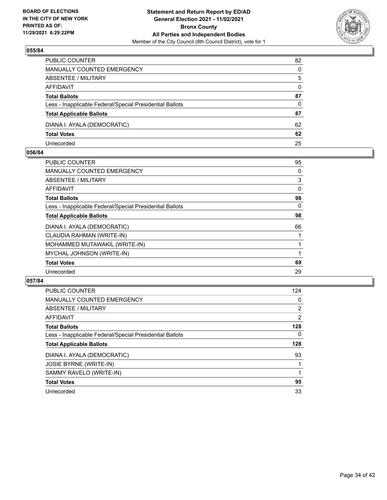

| PUBLIC COUNTER                                           | 82           |
|----------------------------------------------------------|--------------|
| <b>MANUALLY COUNTED EMERGENCY</b>                        | 0            |
| <b>ABSENTEE / MILITARY</b>                               | 5            |
| AFFIDAVIT                                                | $\mathbf{0}$ |
| <b>Total Ballots</b>                                     | 87           |
| Less - Inapplicable Federal/Special Presidential Ballots | 0            |
| <b>Total Applicable Ballots</b>                          | 87           |
| DIANA I. AYALA (DEMOCRATIC)                              | 62           |
| <b>Total Votes</b>                                       | 62           |
| Unrecorded                                               | 25           |

## **056/84**

| PUBLIC COUNTER                                           | 95 |
|----------------------------------------------------------|----|
| <b>MANUALLY COUNTED EMERGENCY</b>                        | 0  |
| ABSENTEE / MILITARY                                      | 3  |
| AFFIDAVIT                                                | 0  |
| <b>Total Ballots</b>                                     | 98 |
| Less - Inapplicable Federal/Special Presidential Ballots | 0  |
| <b>Total Applicable Ballots</b>                          | 98 |
| DIANA I. AYALA (DEMOCRATIC)                              | 66 |
| CLAUDIA RAHMAN (WRITE-IN)                                |    |
| MOHAMMED MUTAWAKIL (WRITE-IN)                            |    |
| MYCHAL JOHNSON (WRITE-IN)                                |    |
| <b>Total Votes</b>                                       | 69 |
| Unrecorded                                               | 29 |
|                                                          |    |

| <b>PUBLIC COUNTER</b>                                    | 124            |
|----------------------------------------------------------|----------------|
| <b>MANUALLY COUNTED EMERGENCY</b>                        | 0              |
| ABSENTEE / MILITARY                                      | $\overline{2}$ |
| <b>AFFIDAVIT</b>                                         | $\overline{2}$ |
| <b>Total Ballots</b>                                     | 128            |
| Less - Inapplicable Federal/Special Presidential Ballots | $\Omega$       |
| <b>Total Applicable Ballots</b>                          | 128            |
| DIANA I. AYALA (DEMOCRATIC)                              | 93             |
| JOSIE BYRNE (WRITE-IN)                                   |                |
| SAMMY RAVELO (WRITE-IN)                                  |                |
| <b>Total Votes</b>                                       | 95             |
| Unrecorded                                               | 33             |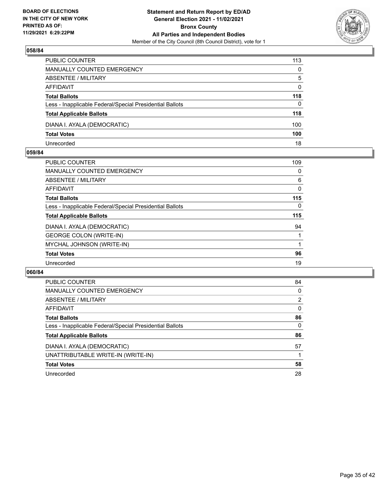

| PUBLIC COUNTER                                           | 113          |
|----------------------------------------------------------|--------------|
| MANUALLY COUNTED EMERGENCY                               | $\mathbf{0}$ |
| <b>ABSENTEE / MILITARY</b>                               | 5            |
| AFFIDAVIT                                                | $\mathbf{0}$ |
| <b>Total Ballots</b>                                     | 118          |
| Less - Inapplicable Federal/Special Presidential Ballots | $\Omega$     |
| <b>Total Applicable Ballots</b>                          | 118          |
| DIANA I. AYALA (DEMOCRATIC)                              | 100          |
| <b>Total Votes</b>                                       | 100          |
| Unrecorded                                               | 18           |

## **059/84**

| <b>PUBLIC COUNTER</b>                                    | 109 |
|----------------------------------------------------------|-----|
| <b>MANUALLY COUNTED EMERGENCY</b>                        | 0   |
| ABSENTEE / MILITARY                                      | 6   |
| AFFIDAVIT                                                | 0   |
| <b>Total Ballots</b>                                     | 115 |
| Less - Inapplicable Federal/Special Presidential Ballots | 0   |
| <b>Total Applicable Ballots</b>                          | 115 |
| DIANA I. AYALA (DEMOCRATIC)                              | 94  |
| <b>GEORGE COLON (WRITE-IN)</b>                           |     |
| MYCHAL JOHNSON (WRITE-IN)                                |     |
| <b>Total Votes</b>                                       | 96  |
| Unrecorded                                               | 19  |
|                                                          |     |

| PUBLIC COUNTER                                           | 84             |
|----------------------------------------------------------|----------------|
| <b>MANUALLY COUNTED EMERGENCY</b>                        | $\Omega$       |
| ABSENTEE / MILITARY                                      | $\overline{2}$ |
| <b>AFFIDAVIT</b>                                         | $\Omega$       |
| <b>Total Ballots</b>                                     | 86             |
| Less - Inapplicable Federal/Special Presidential Ballots | $\Omega$       |
| <b>Total Applicable Ballots</b>                          | 86             |
| DIANA I. AYALA (DEMOCRATIC)                              | 57             |
| UNATTRIBUTABLE WRITE-IN (WRITE-IN)                       |                |
| <b>Total Votes</b>                                       | 58             |
| Unrecorded                                               | 28             |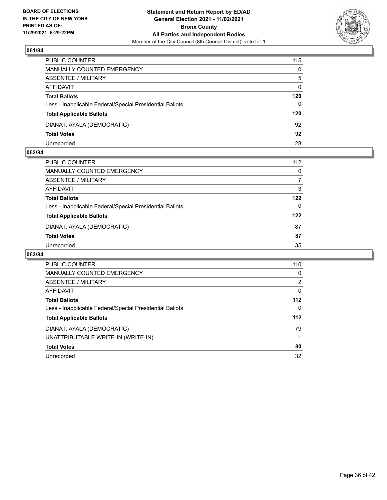

| PUBLIC COUNTER                                           | 115          |
|----------------------------------------------------------|--------------|
| <b>MANUALLY COUNTED EMERGENCY</b>                        | 0            |
| <b>ABSENTEE / MILITARY</b>                               | 5            |
| <b>AFFIDAVIT</b>                                         | $\mathbf{0}$ |
| <b>Total Ballots</b>                                     | 120          |
| Less - Inapplicable Federal/Special Presidential Ballots | 0            |
| <b>Total Applicable Ballots</b>                          | 120          |
| DIANA I. AYALA (DEMOCRATIC)                              | 92           |
| <b>Total Votes</b>                                       | 92           |
| Unrecorded                                               | 28           |

## **062/84**

| PUBLIC COUNTER                                           | 112      |
|----------------------------------------------------------|----------|
| <b>MANUALLY COUNTED EMERGENCY</b>                        | $\Omega$ |
| ABSENTEE / MILITARY                                      |          |
| AFFIDAVIT                                                | 3        |
| <b>Total Ballots</b>                                     | 122      |
| Less - Inapplicable Federal/Special Presidential Ballots | 0        |
| <b>Total Applicable Ballots</b>                          | 122      |
| DIANA I. AYALA (DEMOCRATIC)                              | 87       |
| <b>Total Votes</b>                                       | 87       |
| Unrecorded                                               | 35       |

| <b>PUBLIC COUNTER</b>                                    | 110      |
|----------------------------------------------------------|----------|
| MANUALLY COUNTED EMERGENCY                               | 0        |
| ABSENTEE / MILITARY                                      | 2        |
| AFFIDAVIT                                                | 0        |
| <b>Total Ballots</b>                                     | $112$    |
| Less - Inapplicable Federal/Special Presidential Ballots | $\Omega$ |
| <b>Total Applicable Ballots</b>                          | $112$    |
| DIANA I. AYALA (DEMOCRATIC)                              | 79       |
| UNATTRIBUTABLE WRITE-IN (WRITE-IN)                       |          |
| <b>Total Votes</b>                                       | 80       |
| Unrecorded                                               | 32       |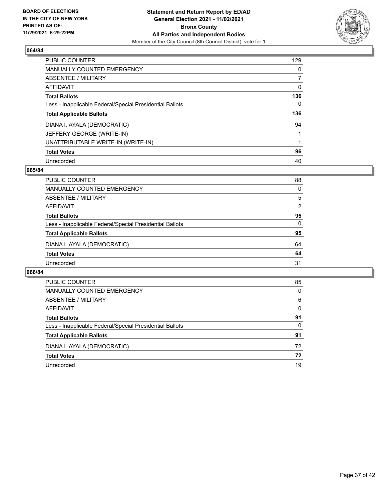

| <b>PUBLIC COUNTER</b>                                    | 129      |
|----------------------------------------------------------|----------|
| <b>MANUALLY COUNTED EMERGENCY</b>                        | $\Omega$ |
| ABSENTEE / MILITARY                                      |          |
| AFFIDAVIT                                                | 0        |
| <b>Total Ballots</b>                                     | 136      |
| Less - Inapplicable Federal/Special Presidential Ballots | 0        |
| <b>Total Applicable Ballots</b>                          | 136      |
| DIANA I. AYALA (DEMOCRATIC)                              | 94       |
| JEFFERY GEORGE (WRITE-IN)                                |          |
| UNATTRIBUTABLE WRITE-IN (WRITE-IN)                       |          |
| <b>Total Votes</b>                                       | 96       |
| Unrecorded                                               | 40       |

## **065/84**

| PUBLIC COUNTER                                           | 88       |
|----------------------------------------------------------|----------|
| MANUALLY COUNTED EMERGENCY                               | $\Omega$ |
| ABSENTEE / MILITARY                                      | 5        |
| AFFIDAVIT                                                | 2        |
| <b>Total Ballots</b>                                     | 95       |
| Less - Inapplicable Federal/Special Presidential Ballots | $\Omega$ |
| <b>Total Applicable Ballots</b>                          | 95       |
| DIANA I. AYALA (DEMOCRATIC)                              | 64       |
| <b>Total Votes</b>                                       | 64       |
| Unrecorded                                               | 31       |

| PUBLIC COUNTER                                           | 85       |
|----------------------------------------------------------|----------|
| <b>MANUALLY COUNTED EMERGENCY</b>                        | 0        |
| ABSENTEE / MILITARY                                      | 6        |
| AFFIDAVIT                                                | $\Omega$ |
| <b>Total Ballots</b>                                     | 91       |
| Less - Inapplicable Federal/Special Presidential Ballots | 0        |
| <b>Total Applicable Ballots</b>                          | 91       |
| DIANA I. AYALA (DEMOCRATIC)                              | 72       |
| <b>Total Votes</b>                                       | 72       |
| Unrecorded                                               | 19       |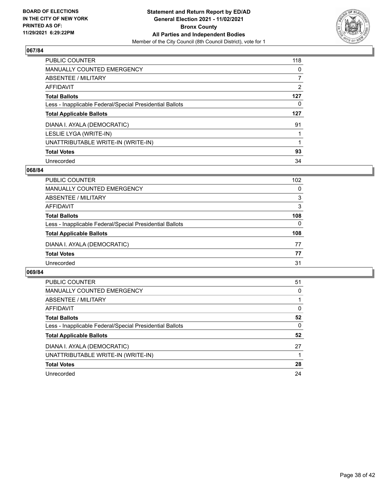

| <b>PUBLIC COUNTER</b>                                    | 118      |
|----------------------------------------------------------|----------|
| <b>MANUALLY COUNTED EMERGENCY</b>                        | $\Omega$ |
| ABSENTEE / MILITARY                                      |          |
| AFFIDAVIT                                                | 2        |
| <b>Total Ballots</b>                                     | 127      |
| Less - Inapplicable Federal/Special Presidential Ballots | 0        |
| <b>Total Applicable Ballots</b>                          | 127      |
|                                                          |          |
| DIANA I. AYALA (DEMOCRATIC)                              | 91       |
| LESLIE LYGA (WRITE-IN)                                   |          |
| UNATTRIBUTABLE WRITE-IN (WRITE-IN)                       |          |
| <b>Total Votes</b>                                       | 93       |

## **068/84**

| <b>PUBLIC COUNTER</b>                                    | 102      |
|----------------------------------------------------------|----------|
| MANUALLY COUNTED EMERGENCY                               | $\Omega$ |
| ABSENTEE / MILITARY                                      | 3        |
| AFFIDAVIT                                                | 3        |
| <b>Total Ballots</b>                                     | 108      |
| Less - Inapplicable Federal/Special Presidential Ballots | $\Omega$ |
| <b>Total Applicable Ballots</b>                          | 108      |
| DIANA I. AYALA (DEMOCRATIC)                              | 77       |
| <b>Total Votes</b>                                       | 77       |
| Unrecorded                                               | 31       |

| <b>PUBLIC COUNTER</b>                                    | 51 |
|----------------------------------------------------------|----|
| <b>MANUALLY COUNTED EMERGENCY</b>                        | 0  |
| ABSENTEE / MILITARY                                      |    |
| <b>AFFIDAVIT</b>                                         | 0  |
| <b>Total Ballots</b>                                     | 52 |
| Less - Inapplicable Federal/Special Presidential Ballots | 0  |
| <b>Total Applicable Ballots</b>                          | 52 |
| DIANA I. AYALA (DEMOCRATIC)                              | 27 |
| UNATTRIBUTABLE WRITE-IN (WRITE-IN)                       |    |
| <b>Total Votes</b>                                       | 28 |
| Unrecorded                                               | 24 |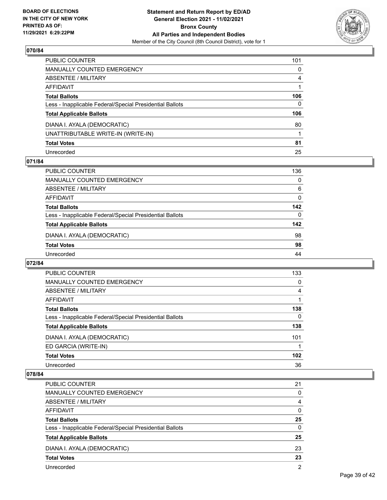

| PUBLIC COUNTER                                           | 101            |
|----------------------------------------------------------|----------------|
| MANUALLY COUNTED EMERGENCY                               | $\mathbf{0}$   |
| ABSENTEE / MILITARY                                      | $\overline{4}$ |
| AFFIDAVIT                                                |                |
| Total Ballots                                            | 106            |
| Less - Inapplicable Federal/Special Presidential Ballots | $\mathbf{0}$   |
| <b>Total Applicable Ballots</b>                          | 106            |
| DIANA I. AYALA (DEMOCRATIC)                              | 80             |
| UNATTRIBUTABLE WRITE-IN (WRITE-IN)                       |                |
| <b>Total Votes</b>                                       | 81             |
| Unrecorded                                               | 25             |

## **071/84**

| <b>PUBLIC COUNTER</b>                                    | 136      |
|----------------------------------------------------------|----------|
| MANUALLY COUNTED EMERGENCY                               | 0        |
| ABSENTEE / MILITARY                                      | 6        |
| AFFIDAVIT                                                | 0        |
| <b>Total Ballots</b>                                     | 142      |
| Less - Inapplicable Federal/Special Presidential Ballots | $\Omega$ |
| <b>Total Applicable Ballots</b>                          | 142      |
| DIANA I. AYALA (DEMOCRATIC)                              | 98       |
| <b>Total Votes</b>                                       | 98       |
| Unrecorded                                               | 44       |

## **072/84**

| <b>PUBLIC COUNTER</b>                                    | 133 |
|----------------------------------------------------------|-----|
| <b>MANUALLY COUNTED EMERGENCY</b>                        | 0   |
| ABSENTEE / MILITARY                                      | 4   |
| AFFIDAVIT                                                |     |
| <b>Total Ballots</b>                                     | 138 |
| Less - Inapplicable Federal/Special Presidential Ballots | 0   |
| <b>Total Applicable Ballots</b>                          | 138 |
| DIANA I. AYALA (DEMOCRATIC)                              | 101 |
| ED GARCIA (WRITE-IN)                                     |     |
| <b>Total Votes</b>                                       | 102 |
| Unrecorded                                               | 36  |

| <b>PUBLIC COUNTER</b>                                    | 21             |
|----------------------------------------------------------|----------------|
| MANUALLY COUNTED EMERGENCY                               | 0              |
| ABSENTEE / MILITARY                                      | 4              |
| AFFIDAVIT                                                | $\Omega$       |
| <b>Total Ballots</b>                                     | 25             |
| Less - Inapplicable Federal/Special Presidential Ballots | $\Omega$       |
| <b>Total Applicable Ballots</b>                          | 25             |
| DIANA I. AYALA (DEMOCRATIC)                              | 23             |
| <b>Total Votes</b>                                       | 23             |
| Unrecorded                                               | $\overline{2}$ |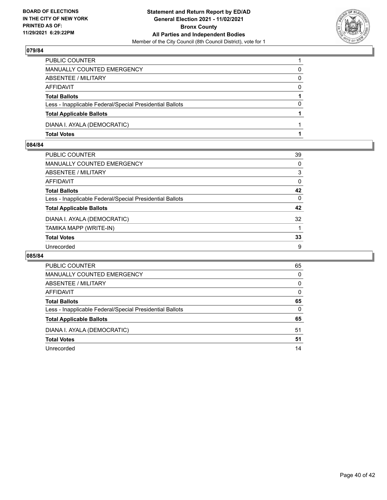

| PUBLIC COUNTER                                           |          |
|----------------------------------------------------------|----------|
| <b>MANUALLY COUNTED EMERGENCY</b>                        | 0        |
| <b>ABSENTEE / MILITARY</b>                               | 0        |
| AFFIDAVIT                                                | $\Omega$ |
| <b>Total Ballots</b>                                     |          |
| Less - Inapplicable Federal/Special Presidential Ballots | $\Omega$ |
| <b>Total Applicable Ballots</b>                          |          |
| DIANA I. AYALA (DEMOCRATIC)                              |          |
| <b>Total Votes</b>                                       |          |

# **084/84**

| PUBLIC COUNTER                                           | 39       |
|----------------------------------------------------------|----------|
| MANUALLY COUNTED EMERGENCY                               | 0        |
| ABSENTEE / MILITARY                                      | 3        |
| AFFIDAVIT                                                | 0        |
| Total Ballots                                            | 42       |
| Less - Inapplicable Federal/Special Presidential Ballots | $\Omega$ |
| <b>Total Applicable Ballots</b>                          | 42       |
| DIANA I. AYALA (DEMOCRATIC)                              | 32       |
| TAMIKA MAPP (WRITE-IN)                                   |          |
| <b>Total Votes</b>                                       | 33       |
| Unrecorded                                               | 9        |

| <b>PUBLIC COUNTER</b>                                    | 65       |
|----------------------------------------------------------|----------|
| MANUALLY COUNTED EMERGENCY                               | 0        |
| ABSENTEE / MILITARY                                      | 0        |
| AFFIDAVIT                                                | $\Omega$ |
| <b>Total Ballots</b>                                     | 65       |
| Less - Inapplicable Federal/Special Presidential Ballots | $\Omega$ |
| <b>Total Applicable Ballots</b>                          | 65       |
| DIANA I. AYALA (DEMOCRATIC)                              | 51       |
| <b>Total Votes</b>                                       | 51       |
| Unrecorded                                               | 14       |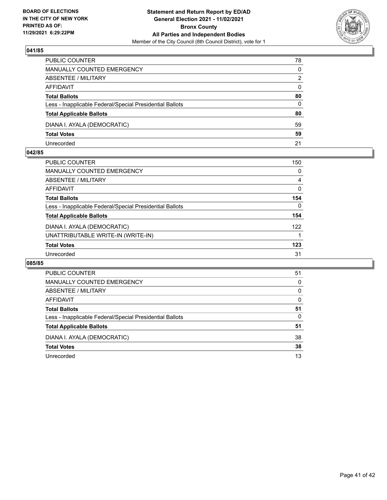

| PUBLIC COUNTER                                           | 78           |
|----------------------------------------------------------|--------------|
| MANUALLY COUNTED EMERGENCY                               | 0            |
| <b>ABSENTEE / MILITARY</b>                               | 2            |
| AFFIDAVIT                                                | $\mathbf{0}$ |
| <b>Total Ballots</b>                                     | 80           |
| Less - Inapplicable Federal/Special Presidential Ballots | 0            |
| <b>Total Applicable Ballots</b>                          | 80           |
| DIANA I. AYALA (DEMOCRATIC)                              | 59           |
| <b>Total Votes</b>                                       | 59           |
| Unrecorded                                               | 21           |

## **042/85**

| <b>PUBLIC COUNTER</b>                                    | 150      |
|----------------------------------------------------------|----------|
| <b>MANUALLY COUNTED EMERGENCY</b>                        | 0        |
| ABSENTEE / MILITARY                                      | 4        |
| <b>AFFIDAVIT</b>                                         | 0        |
| <b>Total Ballots</b>                                     | 154      |
| Less - Inapplicable Federal/Special Presidential Ballots | $\Omega$ |
| <b>Total Applicable Ballots</b>                          | 154      |
| DIANA I. AYALA (DEMOCRATIC)                              | 122      |
| UNATTRIBUTABLE WRITE-IN (WRITE-IN)                       |          |
| <b>Total Votes</b>                                       | 123      |
| Unrecorded                                               | 31       |
|                                                          |          |

| PUBLIC COUNTER                                           | 51       |
|----------------------------------------------------------|----------|
| <b>MANUALLY COUNTED EMERGENCY</b>                        | $\Omega$ |
| ABSENTEE / MILITARY                                      | $\Omega$ |
| AFFIDAVIT                                                | 0        |
| <b>Total Ballots</b>                                     | 51       |
| Less - Inapplicable Federal/Special Presidential Ballots | 0        |
| <b>Total Applicable Ballots</b>                          | 51       |
| DIANA I. AYALA (DEMOCRATIC)                              | 38       |
| <b>Total Votes</b>                                       | 38       |
| Unrecorded                                               | 13       |